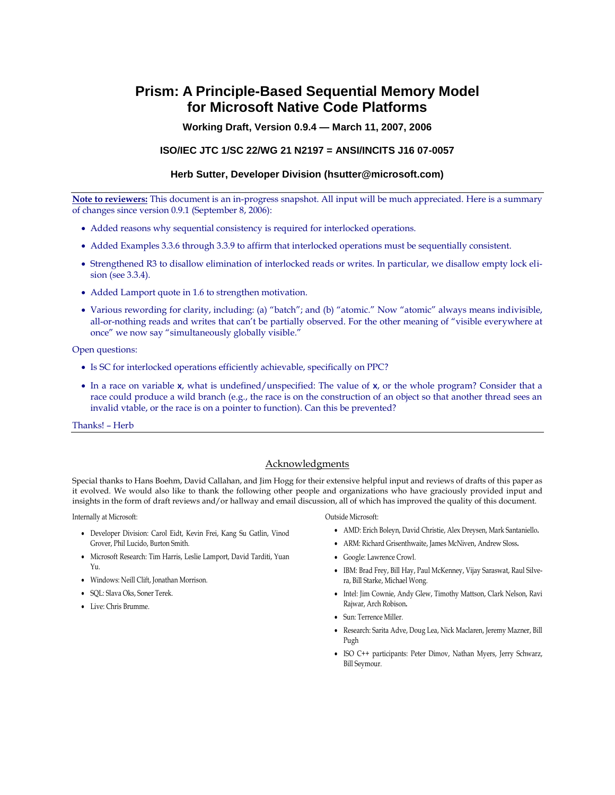# **Prism: A Principle-Based Sequential Memory Model for Microsoft Native Code Platforms**

**Working Draft, Version 0.9.4 — March 11, 2007, 2006**

#### **ISO/IEC JTC 1/SC 22/WG 21 N2197 = ANSI/INCITS J16 07-0057**

#### **Herb Sutter, Developer Division (hsutter@microsoft.com)**

**Note to reviewers:** This document is an in-progress snapshot. All input will be much appreciated. Here is a summary of changes since version 0.9.1 (September 8, 2006):

- Added reasons why sequential consistency is required for interlocked operations.
- Added Examples 3.3.6 through 3.3.9 to affirm that interlocked operations must be sequentially consistent.
- Strengthened R3 to disallow elimination of interlocked reads or writes. In particular, we disallow empty lock elision (see 3.3.4).
- Added Lamport quote in 1.6 to strengthen motivation.
- Various rewording for clarity, including: (a) "batch"; and (b) "atomic." Now "atomic" always means indivisible, all-or-nothing reads and writes that can't be partially observed. For the other meaning of "visible everywhere at once" we now say "simultaneously globally visible."

Open questions:

- Is SC for interlocked operations efficiently achievable, specifically on PPC?
- In a race on variable **x**, what is undefined/unspecified: The value of **x**, or the whole program? Consider that a race could produce a wild branch (e.g., the race is on the construction of an object so that another thread sees an invalid vtable, or the race is on a pointer to function). Can this be prevented?

Thanks! – Herb

#### Acknowledgments

Special thanks to Hans Boehm, David Callahan, and Jim Hogg for their extensive helpful input and reviews of drafts of this paper as it evolved. We would also like to thank the following other people and organizations who have graciously provided input and insights in the form of draft reviews and/or hallway and email discussion, all of which has improved the quality of this document.

Internally at Microsoft:

- Developer Division: Carol Eidt, Kevin Frei, Kang Su Gatlin, Vinod Grover, Phil Lucido, Burton Smith.
- Microsoft Research: Tim Harris, Leslie Lamport, David Tarditi, Yuan  $Y_{11}$
- Windows: Neill Clift, Jonathan Morrison.
- SQL: Slava Oks, Soner Terek.
- Live: Chris Brumme.

Outside Microsoft:

- AMD: Erich Boleyn, David Christie, Alex Dreysen, Mark Santaniello**.**
- ARM: Richard Grisenthwaite, James McNiven, Andrew Sloss**.**
- Google: Lawrence Crowl.
- IBM: Brad Frey, Bill Hay, Paul McKenney, Vijay Saraswat, Raul Silvera, Bill Starke, Michael Wong.
- Intel: Jim Cownie, Andy Glew, Timothy Mattson, Clark Nelson, Ravi Rajwar, Arch Robison**.**
- Sun: Terrence Miller.
- Research: Sarita Adve, Doug Lea, Nick Maclaren, Jeremy Mazner, Bill Pugh
- ISO C++ participants: Peter Dimov, Nathan Myers, Jerry Schwarz, Bill Seymour.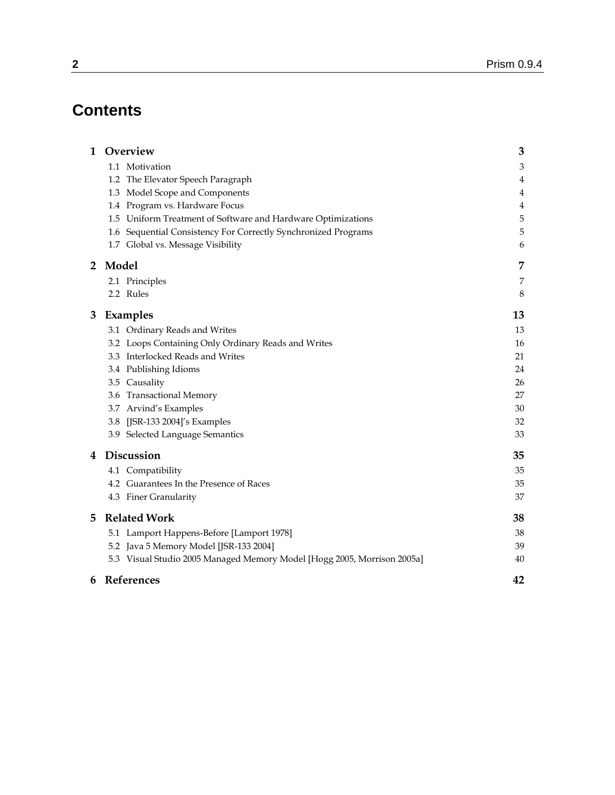# **Contents**

| $\mathbf{1}$   | Overview                                                                | 3  |
|----------------|-------------------------------------------------------------------------|----|
|                | 1.1 Motivation                                                          | 3  |
|                | 1.2 The Elevator Speech Paragraph                                       | 4  |
|                | 1.3 Model Scope and Components                                          | 4  |
|                | 1.4 Program vs. Hardware Focus                                          | 4  |
|                | Uniform Treatment of Software and Hardware Optimizations<br>1.5         | 5  |
|                | 1.6 Sequential Consistency For Correctly Synchronized Programs          | 5  |
|                | 1.7 Global vs. Message Visibility                                       | 6  |
| $\overline{2}$ | Model                                                                   | 7  |
|                | 2.1 Principles                                                          | 7  |
|                | 2.2 Rules                                                               | 8  |
| 3              | Examples                                                                | 13 |
|                | 3.1 Ordinary Reads and Writes                                           | 13 |
|                | 3.2 Loops Containing Only Ordinary Reads and Writes                     | 16 |
|                | 3.3 Interlocked Reads and Writes                                        | 21 |
|                | 3.4 Publishing Idioms                                                   | 24 |
|                | 3.5 Causality                                                           | 26 |
|                | 3.6 Transactional Memory                                                | 27 |
|                | 3.7 Arvind's Examples                                                   | 30 |
|                | [JSR-133 2004]'s Examples<br>3.8                                        | 32 |
|                | 3.9 Selected Language Semantics                                         | 33 |
| 4              | Discussion                                                              | 35 |
|                | 4.1 Compatibility                                                       | 35 |
|                | 4.2 Guarantees In the Presence of Races                                 | 35 |
|                | 4.3 Finer Granularity                                                   | 37 |
| 5              | <b>Related Work</b>                                                     | 38 |
|                | 5.1 Lamport Happens-Before [Lamport 1978]                               | 38 |
|                | 5.2 Java 5 Memory Model [JSR-133 2004]                                  | 39 |
|                | 5.3 Visual Studio 2005 Managed Memory Model [Hogg 2005, Morrison 2005a] | 40 |
| 6              | References                                                              | 42 |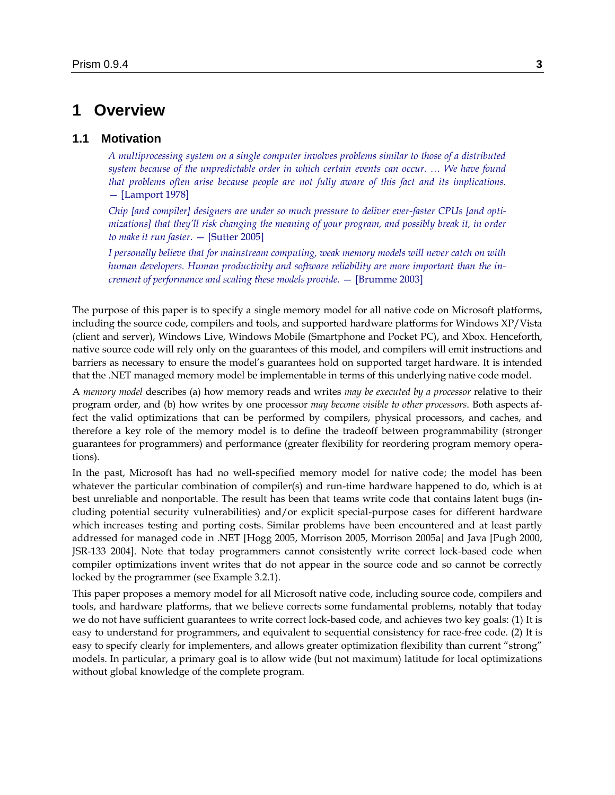# **1 Overview**

### **1.1 Motivation**

*A multiprocessing system on a single computer involves problems similar to those of a distributed system because of the unpredictable order in which certain events can occur. … We have found that problems often arise because people are not fully aware of this fact and its implications.* — [Lamport 1978]

*Chip [and compiler] designers are under so much pressure to deliver ever-faster CPUs [and optimizations] that they'll risk changing the meaning of your program, and possibly break it, in order to make it run faster.* — [Sutter 2005]

*I personally believe that for mainstream computing, weak memory models will never catch on with human developers. Human productivity and software reliability are more important than the increment of performance and scaling these models provide.* — [Brumme 2003]

The purpose of this paper is to specify a single memory model for all native code on Microsoft platforms, including the source code, compilers and tools, and supported hardware platforms for Windows XP/Vista (client and server), Windows Live, Windows Mobile (Smartphone and Pocket PC), and Xbox. Henceforth, native source code will rely only on the guarantees of this model, and compilers will emit instructions and barriers as necessary to ensure the model's guarantees hold on supported target hardware. It is intended that the .NET managed memory model be implementable in terms of this underlying native code model.

A *memory model* describes (a) how memory reads and writes *may be executed by a processor* relative to their program order, and (b) how writes by one processor *may become visible to other processors*. Both aspects affect the valid optimizations that can be performed by compilers, physical processors, and caches, and therefore a key role of the memory model is to define the tradeoff between programmability (stronger guarantees for programmers) and performance (greater flexibility for reordering program memory operations).

In the past, Microsoft has had no well-specified memory model for native code; the model has been whatever the particular combination of compiler(s) and run-time hardware happened to do, which is at best unreliable and nonportable. The result has been that teams write code that contains latent bugs (including potential security vulnerabilities) and/or explicit special-purpose cases for different hardware which increases testing and porting costs. Similar problems have been encountered and at least partly addressed for managed code in .NET [Hogg 2005, Morrison 2005, Morrison 2005a] and Java [Pugh 2000, JSR-133 2004]. Note that today programmers cannot consistently write correct lock-based code when compiler optimizations invent writes that do not appear in the source code and so cannot be correctly locked by the programmer (see Exampl[e 3.2.1\)](#page-15-0).

This paper proposes a memory model for all Microsoft native code, including source code, compilers and tools, and hardware platforms, that we believe corrects some fundamental problems, notably that today we do not have sufficient guarantees to write correct lock-based code, and achieves two key goals: (1) It is easy to understand for programmers, and equivalent to sequential consistency for race-free code. (2) It is easy to specify clearly for implementers, and allows greater optimization flexibility than current "strong" models. In particular, a primary goal is to allow wide (but not maximum) latitude for local optimizations without global knowledge of the complete program.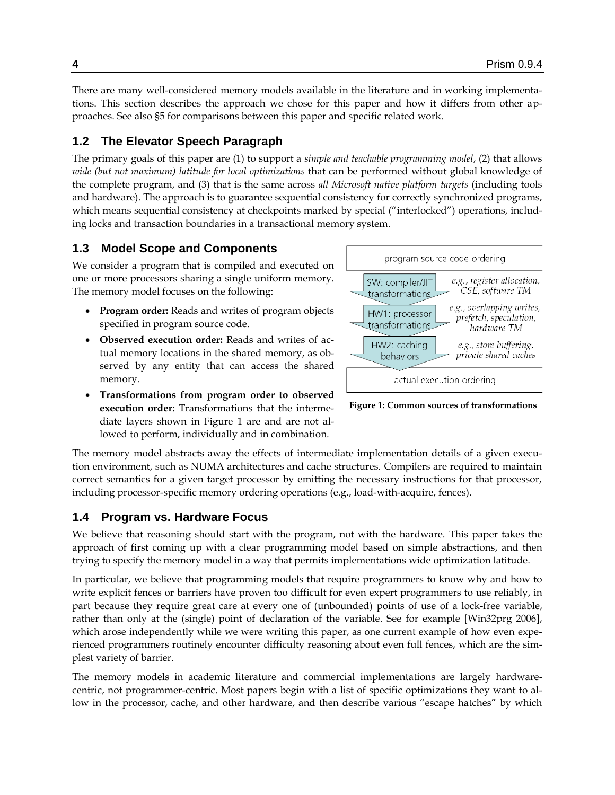There are many well-considered memory models available in the literature and in working implementations. This section describes the approach we chose for this paper and how it differs from other approaches. See also [§5](#page-37-0) for comparisons between this paper and specific related work.

# **1.2 The Elevator Speech Paragraph**

The primary goals of this paper are (1) to support a *simple and teachable programming model*, (2) that allows *wide (but not maximum) latitude for local optimizations* that can be performed without global knowledge of the complete program, and (3) that is the same across *all Microsoft native platform targets* (including tools and hardware). The approach is to guarantee sequential consistency for correctly synchronized programs, which means sequential consistency at checkpoints marked by special ("interlocked") operations, including locks and transaction boundaries in a transactional memory system.

# **1.3 Model Scope and Components**

We consider a program that is compiled and executed on one or more processors sharing a single uniform memory. The memory model focuses on the following:

- **Program order:** Reads and writes of program objects specified in program source code.
- **Observed execution order:** Reads and writes of actual memory locations in the shared memory, as observed by any entity that can access the shared memory.



<span id="page-3-0"></span>**Figure 1: Common sources of transformations**

 **Transformations from program order to observed execution order:** Transformations that the intermediate layers shown in [Figure 1](#page-3-0) are and are not allowed to perform, individually and in combination.

The memory model abstracts away the effects of intermediate implementation details of a given execution environment, such as NUMA architectures and cache structures. Compilers are required to maintain correct semantics for a given target processor by emitting the necessary instructions for that processor, including processor-specific memory ordering operations (e.g., load-with-acquire, fences).

# **1.4 Program vs. Hardware Focus**

We believe that reasoning should start with the program, not with the hardware. This paper takes the approach of first coming up with a clear programming model based on simple abstractions, and then trying to specify the memory model in a way that permits implementations wide optimization latitude.

In particular, we believe that programming models that require programmers to know why and how to write explicit fences or barriers have proven too difficult for even expert programmers to use reliably, in part because they require great care at every one of (unbounded) points of use of a lock-free variable, rather than only at the (single) point of declaration of the variable. See for example [Win32prg 2006], which arose independently while we were writing this paper, as one current example of how even experienced programmers routinely encounter difficulty reasoning about even full fences, which are the simplest variety of barrier.

The memory models in academic literature and commercial implementations are largely hardwarecentric, not programmer-centric. Most papers begin with a list of specific optimizations they want to allow in the processor, cache, and other hardware, and then describe various "escape hatches" by which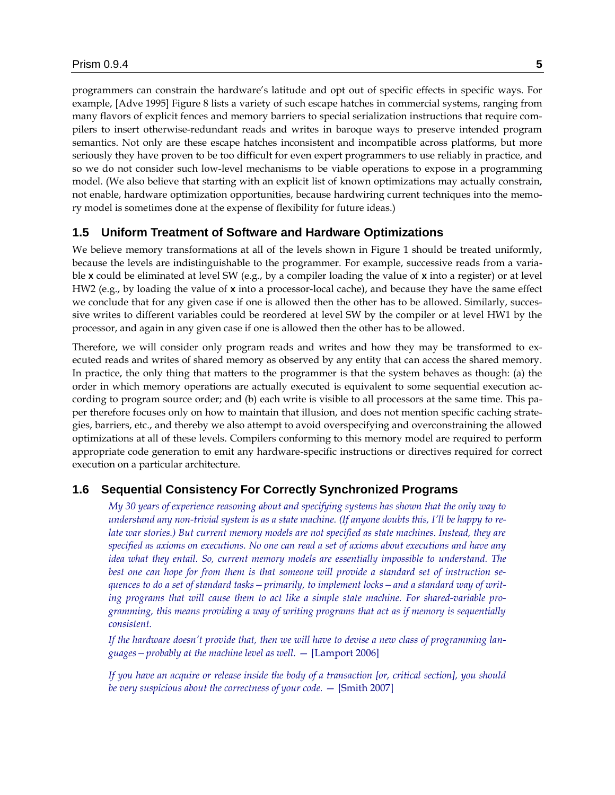programmers can constrain the hardware's latitude and opt out of specific effects in specific ways. For example, [Adve 1995] Figure 8 lists a variety of such escape hatches in commercial systems, ranging from many flavors of explicit fences and memory barriers to special serialization instructions that require compilers to insert otherwise-redundant reads and writes in baroque ways to preserve intended program semantics. Not only are these escape hatches inconsistent and incompatible across platforms, but more seriously they have proven to be too difficult for even expert programmers to use reliably in practice, and so we do not consider such low-level mechanisms to be viable operations to expose in a programming model. (We also believe that starting with an explicit list of known optimizations may actually constrain, not enable, hardware optimization opportunities, because hardwiring current techniques into the memory model is sometimes done at the expense of flexibility for future ideas.)

# **1.5 Uniform Treatment of Software and Hardware Optimizations**

We believe memory transformations at all of the levels shown in [Figure 1](#page-3-0) should be treated uniformly, because the levels are indistinguishable to the programmer. For example, successive reads from a variable **x** could be eliminated at level SW (e.g., by a compiler loading the value of **x** into a register) or at level HW2 (e.g., by loading the value of **x** into a processor-local cache), and because they have the same effect we conclude that for any given case if one is allowed then the other has to be allowed. Similarly, successive writes to different variables could be reordered at level SW by the compiler or at level HW1 by the processor, and again in any given case if one is allowed then the other has to be allowed.

Therefore, we will consider only program reads and writes and how they may be transformed to executed reads and writes of shared memory as observed by any entity that can access the shared memory. In practice, the only thing that matters to the programmer is that the system behaves as though: (a) the order in which memory operations are actually executed is equivalent to some sequential execution according to program source order; and (b) each write is visible to all processors at the same time. This paper therefore focuses only on how to maintain that illusion, and does not mention specific caching strategies, barriers, etc., and thereby we also attempt to avoid overspecifying and overconstraining the allowed optimizations at all of these levels. Compilers conforming to this memory model are required to perform appropriate code generation to emit any hardware-specific instructions or directives required for correct execution on a particular architecture.

### **1.6 Sequential Consistency For Correctly Synchronized Programs**

*My 30 years of experience reasoning about and specifying systems has shown that the only way to understand any non-trivial system is as a state machine. (If anyone doubts this, I'll be happy to relate war stories.) But current memory models are not specified as state machines. Instead, they are specified as axioms on executions. No one can read a set of axioms about executions and have any idea what they entail. So, current memory models are essentially impossible to understand. The best one can hope for from them is that someone will provide a standard set of instruction sequences to do a set of standard tasks—primarily, to implement locks—and a standard way of writing programs that will cause them to act like a simple state machine. For shared-variable programming, this means providing a way of writing programs that act as if memory is sequentially consistent.*

*If the hardware doesn't provide that, then we will have to devise a new class of programming languages—probably at the machine level as well.* — [Lamport 2006]

*If you have an acquire or release inside the body of a transaction [or, critical section], you should be very suspicious about the correctness of your code.* — [Smith 2007]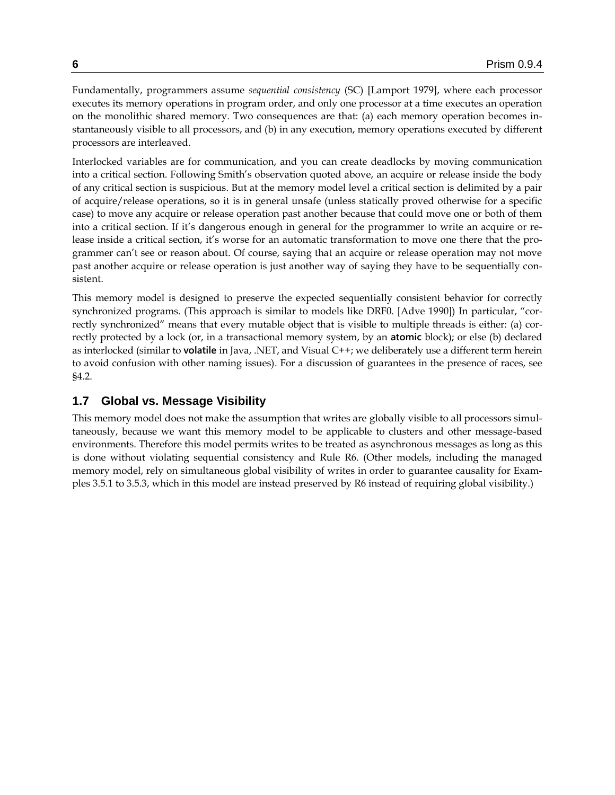Fundamentally, programmers assume *sequential consistency* (SC) [Lamport 1979], where each processor executes its memory operations in program order, and only one processor at a time executes an operation on the monolithic shared memory. Two consequences are that: (a) each memory operation becomes instantaneously visible to all processors, and (b) in any execution, memory operations executed by different processors are interleaved.

Interlocked variables are for communication, and you can create deadlocks by moving communication into a critical section. Following Smith's observation quoted above, an acquire or release inside the body of any critical section is suspicious. But at the memory model level a critical section is delimited by a pair of acquire/release operations, so it is in general unsafe (unless statically proved otherwise for a specific case) to move any acquire or release operation past another because that could move one or both of them into a critical section. If it's dangerous enough in general for the programmer to write an acquire or release inside a critical section, it's worse for an automatic transformation to move one there that the programmer can't see or reason about. Of course, saying that an acquire or release operation may not move past another acquire or release operation is just another way of saying they have to be sequentially consistent.

This memory model is designed to preserve the expected sequentially consistent behavior for correctly synchronized programs. (This approach is similar to models like DRF0. [Adve 1990]) In particular, "correctly synchronized" means that every mutable object that is visible to multiple threads is either: (a) correctly protected by a lock (or, in a transactional memory system, by an **atomic** block); or else (b) declared as interlocked (similar to **volatile** in Java, .NET, and Visual C++; we deliberately use a different term herein to avoid confusion with other naming issues). For a discussion of guarantees in the presence of races, see [§4.2.](#page-34-0)

## **1.7 Global vs. Message Visibility**

This memory model does not make the assumption that writes are globally visible to all processors simultaneously, because we want this memory model to be applicable to clusters and other message-based environments. Therefore this model permits writes to be treated as asynchronous messages as long as this is done without violating sequential consistency and Rule R6. (Other models, including the managed memory model, rely on simultaneous global visibility of writes in order to guarantee causality for Examples [3.5.1](#page-25-0) to [3.5.3,](#page-25-1) which in this model are instead preserved by R6 instead of requiring global visibility.)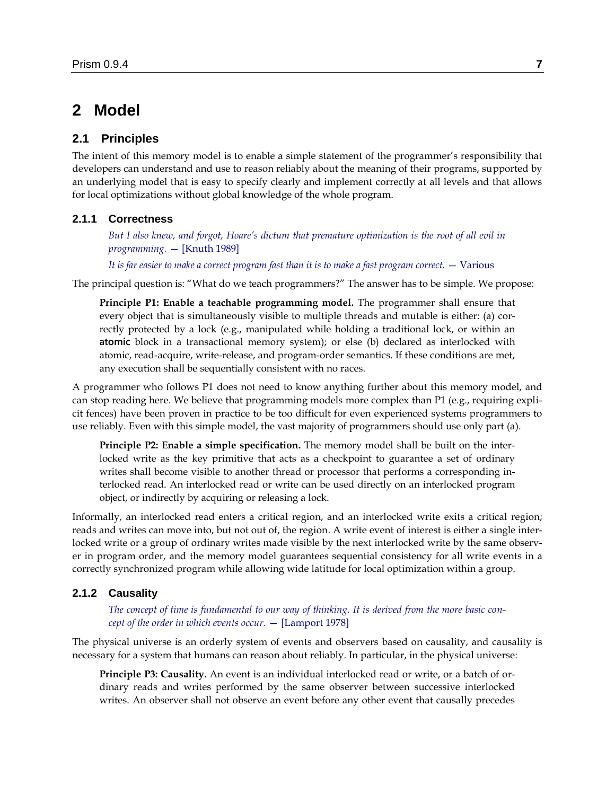# **2 Model**

### **2.1 Principles**

The intent of this memory model is to enable a simple statement of the programmer's responsibility that developers can understand and use to reason reliably about the meaning of their programs, supported by an underlying model that is easy to specify clearly and implement correctly at all levels and that allows for local optimizations without global knowledge of the whole program.

#### **2.1.1 Correctness**

*But I also knew, and forgot, Hoare's dictum that premature optimization is the root of all evil in programming.* — [Knuth 1989]

*It is far easier to make a correct program fast than it is to make a fast program correct.* — Various

The principal question is: "What do we teach programmers?" The answer has to be simple. We propose:

**Principle P1: Enable a teachable programming model.** The programmer shall ensure that every object that is simultaneously visible to multiple threads and mutable is either: (a) correctly protected by a lock (e.g., manipulated while holding a traditional lock, or within an **atomic** block in a transactional memory system); or else (b) declared as interlocked with atomic, read-acquire, write-release, and program-order semantics. If these conditions are met, any execution shall be sequentially consistent with no races.

A programmer who follows P1 does not need to know anything further about this memory model, and can stop reading here. We believe that programming models more complex than P1 (e.g., requiring explicit fences) have been proven in practice to be too difficult for even experienced systems programmers to use reliably. Even with this simple model, the vast majority of programmers should use only part (a).

**Principle P2: Enable a simple specification.** The memory model shall be built on the interlocked write as the key primitive that acts as a checkpoint to guarantee a set of ordinary writes shall become visible to another thread or processor that performs a corresponding interlocked read. An interlocked read or write can be used directly on an interlocked program object, or indirectly by acquiring or releasing a lock.

Informally, an interlocked read enters a critical region, and an interlocked write exits a critical region; reads and writes can move into, but not out of, the region. A write event of interest is either a single interlocked write or a group of ordinary writes made visible by the next interlocked write by the same observer in program order, and the memory model guarantees sequential consistency for all write events in a correctly synchronized program while allowing wide latitude for local optimization within a group.

#### **2.1.2 Causality**

*The concept of time is fundamental to our way of thinking. It is derived from the more basic concept of the order in which events occur.* — [Lamport 1978]

The physical universe is an orderly system of events and observers based on causality, and causality is necessary for a system that humans can reason about reliably. In particular, in the physical universe:

**Principle P3: Causality.** An event is an individual interlocked read or write, or a batch of ordinary reads and writes performed by the same observer between successive interlocked writes. An observer shall not observe an event before any other event that causally precedes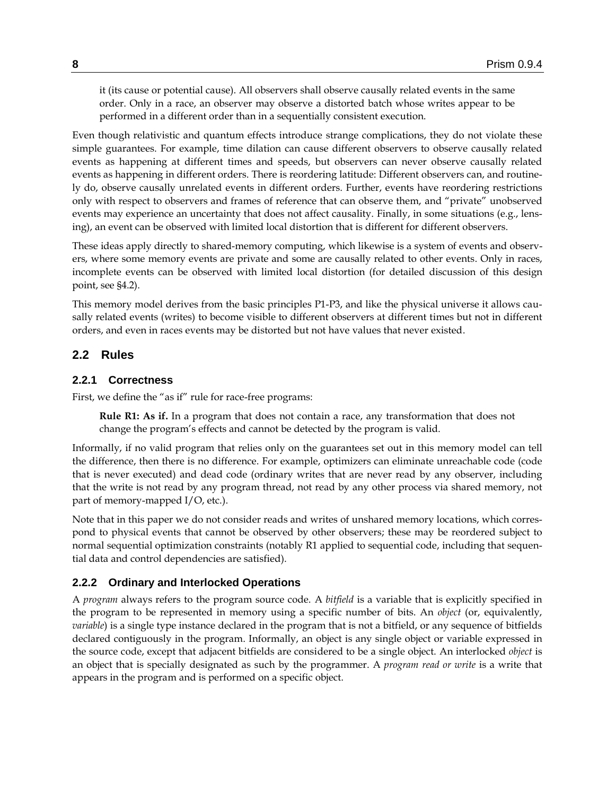it (its cause or potential cause). All observers shall observe causally related events in the same order. Only in a race, an observer may observe a distorted batch whose writes appear to be performed in a different order than in a sequentially consistent execution.

Even though relativistic and quantum effects introduce strange complications, they do not violate these simple guarantees. For example, time dilation can cause different observers to observe causally related events as happening at different times and speeds, but observers can never observe causally related events as happening in different orders. There is reordering latitude: Different observers can, and routinely do, observe causally unrelated events in different orders. Further, events have reordering restrictions only with respect to observers and frames of reference that can observe them, and "private" unobserved events may experience an uncertainty that does not affect causality. Finally, in some situations (e.g., lensing), an event can be observed with limited local distortion that is different for different observers.

These ideas apply directly to shared-memory computing, which likewise is a system of events and observers, where some memory events are private and some are causally related to other events. Only in races, incomplete events can be observed with limited local distortion (for detailed discussion of this design point, see [§4.2\)](#page-34-0).

This memory model derives from the basic principles P1-P3, and like the physical universe it allows causally related events (writes) to become visible to different observers at different times but not in different orders, and even in races events may be distorted but not have values that never existed.

## **2.2 Rules**

### **2.2.1 Correctness**

First, we define the "as if" rule for race-free programs:

**Rule R1: As if.** In a program that does not contain a race, any transformation that does not change the program's effects and cannot be detected by the program is valid.

Informally, if no valid program that relies only on the guarantees set out in this memory model can tell the difference, then there is no difference. For example, optimizers can eliminate unreachable code (code that is never executed) and dead code (ordinary writes that are never read by any observer, including that the write is not read by any program thread, not read by any other process via shared memory, not part of memory-mapped I/O, etc.).

Note that in this paper we do not consider reads and writes of unshared memory locations, which correspond to physical events that cannot be observed by other observers; these may be reordered subject to normal sequential optimization constraints (notably R1 applied to sequential code, including that sequential data and control dependencies are satisfied).

#### **2.2.2 Ordinary and Interlocked Operations**

A *program* always refers to the program source code. A *bitfield* is a variable that is explicitly specified in the program to be represented in memory using a specific number of bits. An *object* (or, equivalently, *variable*) is a single type instance declared in the program that is not a bitfield, or any sequence of bitfields declared contiguously in the program. Informally, an object is any single object or variable expressed in the source code, except that adjacent bitfields are considered to be a single object. An interlocked *object* is an object that is specially designated as such by the programmer. A *program read or write* is a write that appears in the program and is performed on a specific object.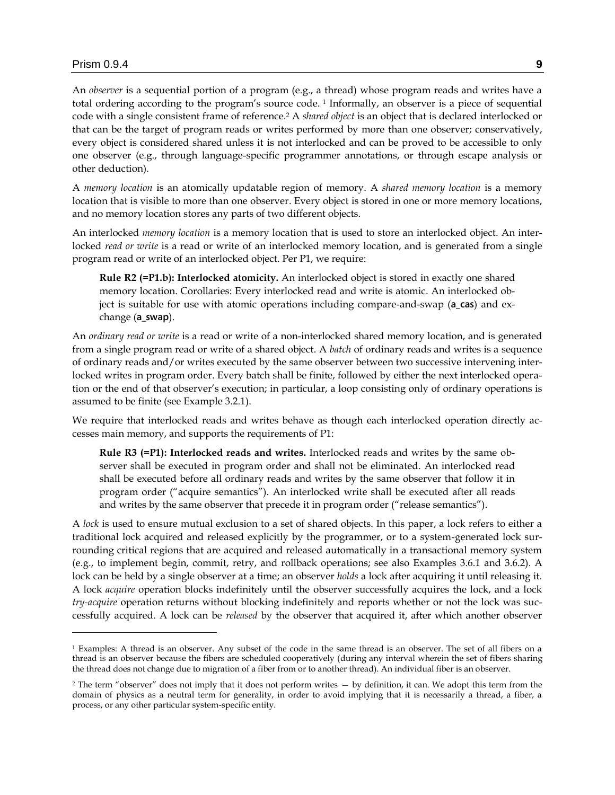$\overline{a}$ 

An *observer* is a sequential portion of a program (e.g., a thread) whose program reads and writes have a total ordering according to the program's source code. <sup>1</sup> Informally, an observer is a piece of sequential code with a single consistent frame of reference. <sup>2</sup> A *shared object* is an object that is declared interlocked or that can be the target of program reads or writes performed by more than one observer; conservatively, every object is considered shared unless it is not interlocked and can be proved to be accessible to only one observer (e.g., through language-specific programmer annotations, or through escape analysis or other deduction).

A *memory location* is an atomically updatable region of memory. A *shared memory location* is a memory location that is visible to more than one observer. Every object is stored in one or more memory locations, and no memory location stores any parts of two different objects.

An interlocked *memory location* is a memory location that is used to store an interlocked object. An interlocked *read or write* is a read or write of an interlocked memory location, and is generated from a single program read or write of an interlocked object. Per P1, we require:

**Rule R2 (=P1.b): Interlocked atomicity.** An interlocked object is stored in exactly one shared memory location. Corollaries: Every interlocked read and write is atomic. An interlocked object is suitable for use with atomic operations including compare-and-swap (**a\_cas**) and exchange (**a\_swap**).

An *ordinary read or write* is a read or write of a non-interlocked shared memory location, and is generated from a single program read or write of a shared object. A *batch* of ordinary reads and writes is a sequence of ordinary reads and/or writes executed by the same observer between two successive intervening interlocked writes in program order. Every batch shall be finite, followed by either the next interlocked operation or the end of that observer's execution; in particular, a loop consisting only of ordinary operations is assumed to be finite (see Example [3.2.1\)](#page-15-0).

We require that interlocked reads and writes behave as though each interlocked operation directly accesses main memory, and supports the requirements of P1:

**Rule R3 (=P1): Interlocked reads and writes.** Interlocked reads and writes by the same observer shall be executed in program order and shall not be eliminated. An interlocked read shall be executed before all ordinary reads and writes by the same observer that follow it in program order ("acquire semantics"). An interlocked write shall be executed after all reads and writes by the same observer that precede it in program order ("release semantics").

A *lock* is used to ensure mutual exclusion to a set of shared objects. In this paper, a lock refers to either a traditional lock acquired and released explicitly by the programmer, or to a system-generated lock surrounding critical regions that are acquired and released automatically in a transactional memory system (e.g., to implement begin, commit, retry, and rollback operations; see also Examples [3.6.1](#page-26-0) and [3.6.2\)](#page-27-0). A lock can be held by a single observer at a time; an observer *holds* a lock after acquiring it until releasing it. A lock *acquire* operation blocks indefinitely until the observer successfully acquires the lock, and a lock *try-acquire* operation returns without blocking indefinitely and reports whether or not the lock was successfully acquired. A lock can be *released* by the observer that acquired it, after which another observer

<sup>1</sup> Examples: A thread is an observer. Any subset of the code in the same thread is an observer. The set of all fibers on a thread is an observer because the fibers are scheduled cooperatively (during any interval wherein the set of fibers sharing the thread does not change due to migration of a fiber from or to another thread). An individual fiber is an observer.

<sup>&</sup>lt;sup>2</sup> The term "observer" does not imply that it does not perform writes — by definition, it can. We adopt this term from the domain of physics as a neutral term for generality, in order to avoid implying that it is necessarily a thread, a fiber, a process, or any other particular system-specific entity.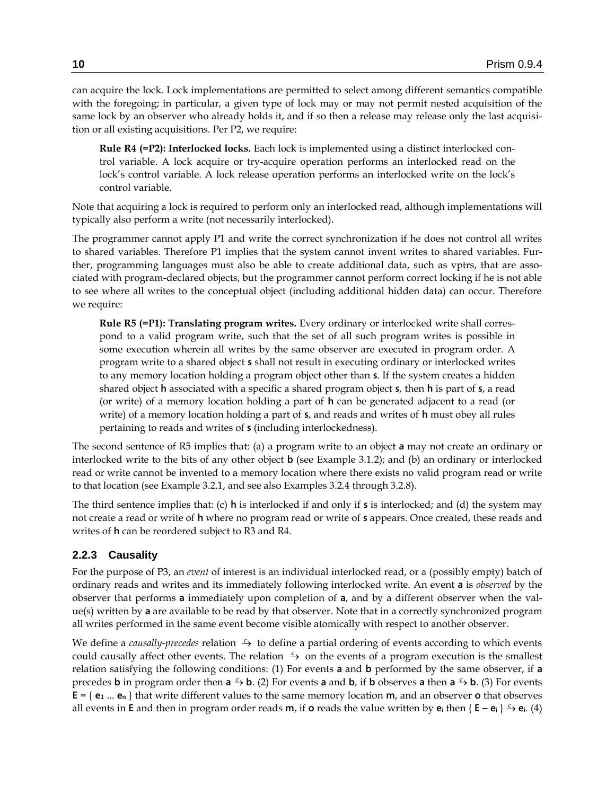can acquire the lock. Lock implementations are permitted to select among different semantics compatible with the foregoing; in particular, a given type of lock may or may not permit nested acquisition of the same lock by an observer who already holds it, and if so then a release may release only the last acquisition or all existing acquisitions. Per P2, we require:

**Rule R4 (=P2): Interlocked locks.** Each lock is implemented using a distinct interlocked control variable. A lock acquire or try-acquire operation performs an interlocked read on the lock's control variable. A lock release operation performs an interlocked write on the lock's control variable.

Note that acquiring a lock is required to perform only an interlocked read, although implementations will typically also perform a write (not necessarily interlocked).

The programmer cannot apply P1 and write the correct synchronization if he does not control all writes to shared variables. Therefore P1 implies that the system cannot invent writes to shared variables. Further, programming languages must also be able to create additional data, such as vptrs, that are associated with program-declared objects, but the programmer cannot perform correct locking if he is not able to see where all writes to the conceptual object (including additional hidden data) can occur. Therefore we require:

**Rule R5 (=P1): Translating program writes.** Every ordinary or interlocked write shall correspond to a valid program write, such that the set of all such program writes is possible in some execution wherein all writes by the same observer are executed in program order. A program write to a shared object **s** shall not result in executing ordinary or interlocked writes to any memory location holding a program object other than **s**. If the system creates a hidden shared object **h** associated with a specific a shared program object **s**, then **h** is part of **s**, a read (or write) of a memory location holding a part of **h** can be generated adjacent to a read (or write) of a memory location holding a part of **s**, and reads and writes of **h** must obey all rules pertaining to reads and writes of **s** (including interlockedness).

The second sentence of R5 implies that: (a) a program write to an object **a** may not create an ordinary or interlocked write to the bits of any other object **b** (see Example [3.1.2\)](#page-12-0); and (b) an ordinary or interlocked read or write cannot be invented to a memory location where there exists no valid program read or write to that location (see Example [3.2.1,](#page-15-0) and see also Examples [3.2.4](#page-16-0) through [3.2.8\)](#page-19-0).

The third sentence implies that: (c) **h** is interlocked if and only if **s** is interlocked; and (d) the system may not create a read or write of **h** where no program read or write of **s** appears. Once created, these reads and writes of **h** can be reordered subject to R3 and R4.

#### **2.2.3 Causality**

For the purpose of P3, an *event* of interest is an individual interlocked read, or a (possibly empty) batch of ordinary reads and writes and its immediately following interlocked write. An event **a** is *observed* by the observer that performs **a** immediately upon completion of **a**, and by a different observer when the value(s) written by **a** are available to be read by that observer. Note that in a correctly synchronized program all writes performed in the same event become visible atomically with respect to another observer.

We define a *causally-precedes* relation  $\rightarrow$  to define a partial ordering of events according to which events could causally affect other events. The relation  $\frac{c}{r}$  on the events of a program execution is the smallest relation satisfying the following conditions: (1) For events **a** and **b** performed by the same observer, if **a** precedes **b** in program order then  $a \rightarrow b$ . (2) For events **a** and **b**, if **b** observes **a** then  $a \rightarrow b$ . (3) For events  $E = \{ e_1 \dots e_n \}$  that write different values to the same memory location **m**, and an observer **o** that observes all events in **E** and then in program order reads **m**, if **o** reads the value written by  $e_i$  then {  $E - e_i$  }  $\stackrel{c}{\rightarrow} e_i$ . (4)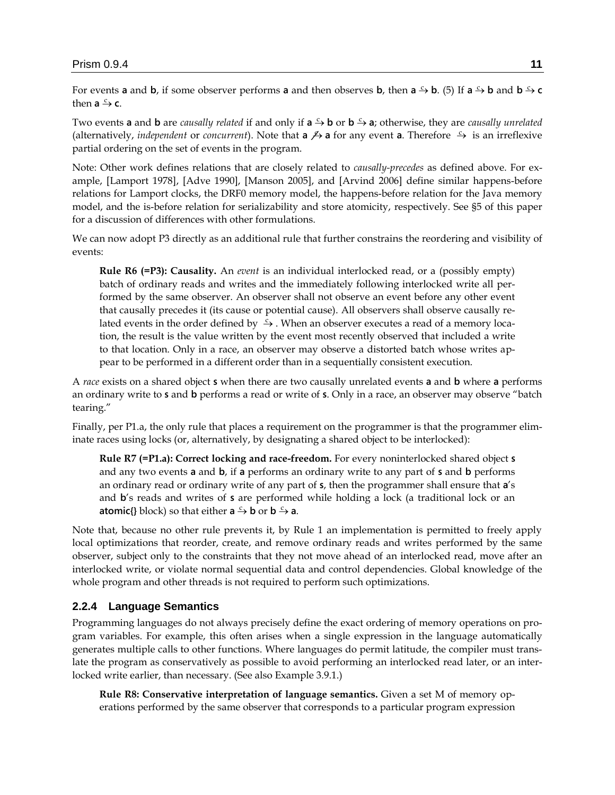For events **a** and **b**, if some observer performs **a** and then observes **b**, then **a**  $\stackrel{c}{\rightarrow}$  **b**. (5) If **a**  $\stackrel{c}{\rightarrow}$  **b** and **b**  $\stackrel{c}{\rightarrow}$  **c** then  $a \xrightarrow{c} c$ .

Two events **a** and **b** are *causally related* if and only if **a**  $\stackrel{c}{\rightarrow}$  **b** or **b**  $\stackrel{c}{\rightarrow}$  **a**; otherwise, they are *causally unrelated* (alternatively, *independent* or *concurrent*). Note that **a**  $\not\rightarrow$  **a** for any event **a**. Therefore  $\rightarrow$  is an irreflexive partial ordering on the set of events in the program.

Note: Other work defines relations that are closely related to *causally-precedes* as defined above. For example, [Lamport 1978], [Adve 1990], [Manson 2005], and [Arvind 2006] define similar happens-before relations for Lamport clocks, the DRF0 memory model, the happens-before relation for the Java memory model, and the is-before relation for serializability and store atomicity, respectively. See [§5](#page-37-0) of this paper for a discussion of differences with other formulations.

We can now adopt P3 directly as an additional rule that further constrains the reordering and visibility of events:

**Rule R6 (=P3): Causality.** An *event* is an individual interlocked read, or a (possibly empty) batch of ordinary reads and writes and the immediately following interlocked write all performed by the same observer. An observer shall not observe an event before any other event that causally precedes it (its cause or potential cause). All observers shall observe causally related events in the order defined by  $\rightarrow$ . When an observer executes a read of a memory location, the result is the value written by the event most recently observed that included a write to that location. Only in a race, an observer may observe a distorted batch whose writes appear to be performed in a different order than in a sequentially consistent execution.

A *race* exists on a shared object **s** when there are two causally unrelated events **a** and **b** where **a** performs an ordinary write to **s** and **b** performs a read or write of **s**. Only in a race, an observer may observe "batch tearing."

Finally, per P1.a, the only rule that places a requirement on the programmer is that the programmer eliminate races using locks (or, alternatively, by designating a shared object to be interlocked):

**Rule R7 (=P1.a): Correct locking and race-freedom.** For every noninterlocked shared object **s** and any two events **a** and **b**, if **a** performs an ordinary write to any part of **s** and **b** performs an ordinary read or ordinary write of any part of **s**, then the programmer shall ensure that **a**'s and **b**'s reads and writes of **s** are performed while holding a lock (a traditional lock or an **atomic{}** block) so that either  $a \xrightarrow{c} b$  or  $b \xrightarrow{c} a$ .

Note that, because no other rule prevents it, by Rule 1 an implementation is permitted to freely apply local optimizations that reorder, create, and remove ordinary reads and writes performed by the same observer, subject only to the constraints that they not move ahead of an interlocked read, move after an interlocked write, or violate normal sequential data and control dependencies. Global knowledge of the whole program and other threads is not required to perform such optimizations.

#### **2.2.4 Language Semantics**

Programming languages do not always precisely define the exact ordering of memory operations on program variables. For example, this often arises when a single expression in the language automatically generates multiple calls to other functions. Where languages do permit latitude, the compiler must translate the program as conservatively as possible to avoid performing an interlocked read later, or an interlocked write earlier, than necessary. (See also Example [3.9.1.](#page-32-0))

**Rule R8: Conservative interpretation of language semantics.** Given a set M of memory operations performed by the same observer that corresponds to a particular program expression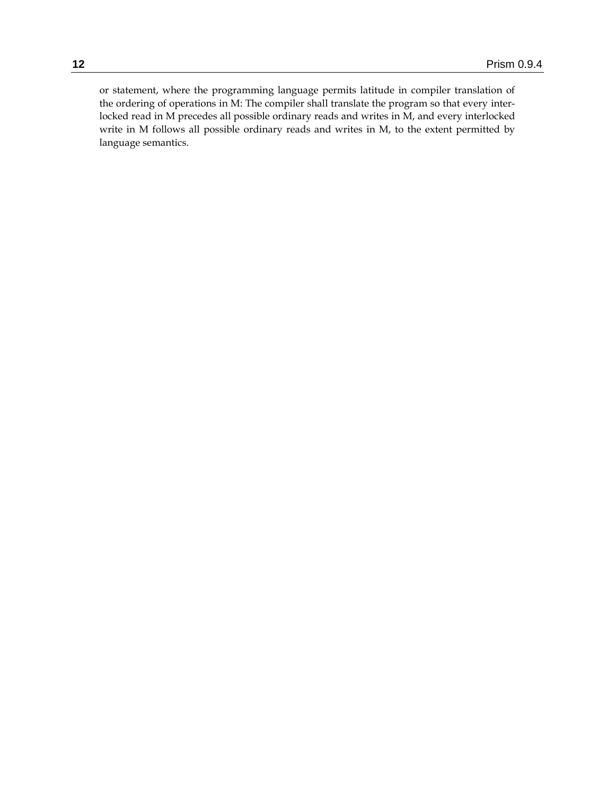or statement, where the programming language permits latitude in compiler translation of the ordering of operations in M: The compiler shall translate the program so that every interlocked read in M precedes all possible ordinary reads and writes in M, and every interlocked write in M follows all possible ordinary reads and writes in M, to the extent permitted by language semantics.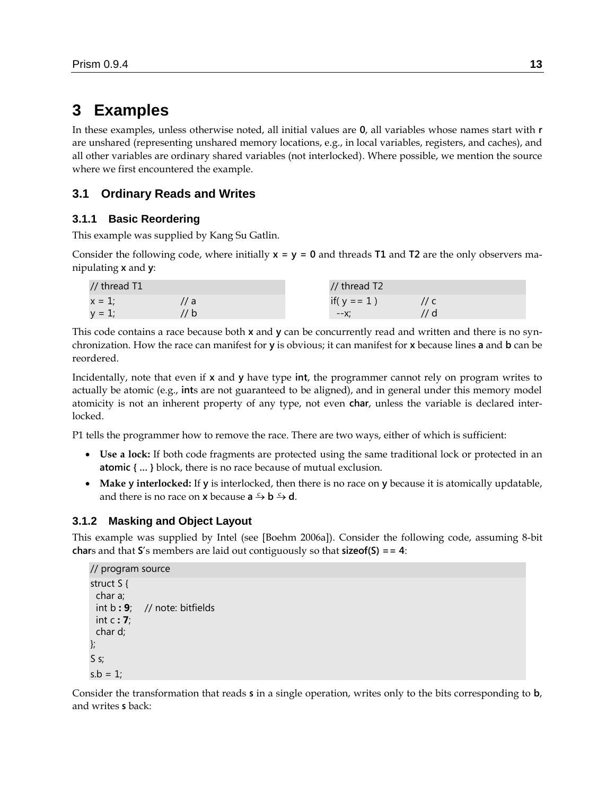# **3 Examples**

In these examples, unless otherwise noted, all initial values are **0**, all variables whose names start with **r** are unshared (representing unshared memory locations, e.g., in local variables, registers, and caches), and all other variables are ordinary shared variables (not interlocked). Where possible, we mention the source where we first encountered the example.

# **3.1 Ordinary Reads and Writes**

# **3.1.1 Basic Reordering**

This example was supplied by Kang Su Gatlin.

Consider the following code, where initially **x = y = 0** and threads **T1** and **T2** are the only observers manipulating **x** and **y**:

| // thread T1 |     | // thread T2   |  |
|--------------|-----|----------------|--|
| $x = 1$ ;    | 7 a | if( $y == 1$ ) |  |
| $v = 1$      | ' b | --X:           |  |

This code contains a race because both **x** and **y** can be concurrently read and written and there is no synchronization. How the race can manifest for **y** is obvious; it can manifest for **x** because lines **a** and **b** can be reordered.

Incidentally, note that even if **x** and **y** have type **int**, the programmer cannot rely on program writes to actually be atomic (e.g., **int**s are not guaranteed to be aligned), and in general under this memory model atomicity is not an inherent property of any type, not even **char**, unless the variable is declared interlocked.

P1 tells the programmer how to remove the race. There are two ways, either of which is sufficient:

- **Use a lock:** If both code fragments are protected using the same traditional lock or protected in an **atomic { … }** block, there is no race because of mutual exclusion.
- **Make y interlocked:** If **y** is interlocked, then there is no race on **y** because it is atomically updatable, and there is no race on **x** because  $a \xrightarrow{c} b \xrightarrow{c} d$ .

### <span id="page-12-0"></span>**3.1.2 Masking and Object Layout**

This example was supplied by Intel (see [Boehm 2006a]). Consider the following code, assuming 8-bit **char**s and that **S**'s members are laid out contiguously so that **sizeof(S) == 4**:

```
// program source
struct S {
  char a;
  int b : 9; // note: bitfields
  int c : 7;
 char d;
};
S s;
s.b = 1;
```
Consider the transformation that reads **s** in a single operation, writes only to the bits corresponding to **b**, and writes **s** back: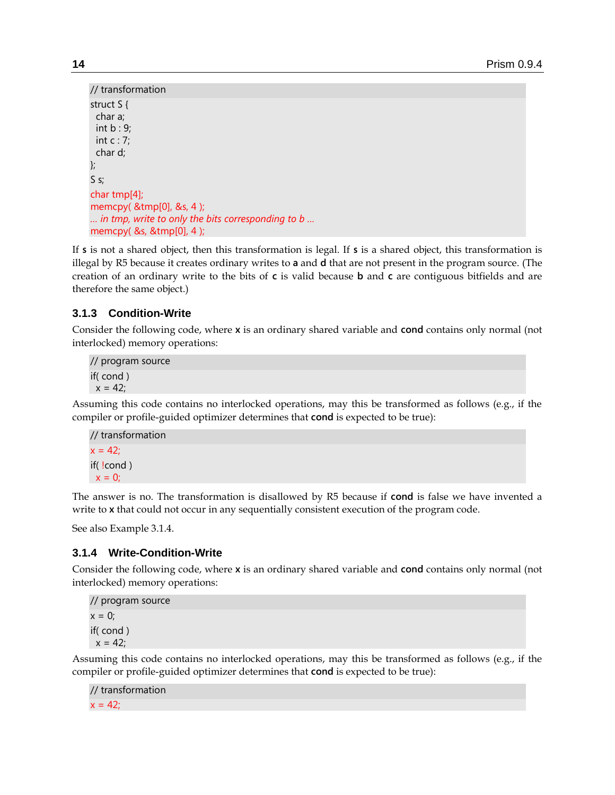```
// transformation
struct S {
  char a;
  int b : 9;
  int c : 7;
 char d;
};
S s;
char tmp[4];
memcpy( &tmp[0], &s, 4 );
… in tmp, write to only the bits corresponding to b …
memcpy( &s, &tmp[0], 4 );
```
If **s** is not a shared object, then this transformation is legal. If **s** is a shared object, this transformation is illegal by R5 because it creates ordinary writes to **a** and **d** that are not present in the program source. (The creation of an ordinary write to the bits of **c** is valid because **b** and **c** are contiguous bitfields and are therefore the same object.)

# **3.1.3 Condition-Write**

Consider the following code, where **x** is an ordinary shared variable and **cond** contains only normal (not interlocked) memory operations:

// program source if( cond )  $x = 42$ ;

Assuming this code contains no interlocked operations, may this be transformed as follows (e.g., if the compiler or profile-guided optimizer determines that **cond** is expected to be true):

```
// transformation
x = 42;
if( !cond )
x = 0;
```
The answer is no. The transformation is disallowed by R5 because if **cond** is false we have invented a write to **x** that could not occur in any sequentially consistent execution of the program code.

See also Exampl[e 3.1.4.](#page-13-0)

# <span id="page-13-0"></span>**3.1.4 Write-Condition-Write**

Consider the following code, where **x** is an ordinary shared variable and **cond** contains only normal (not interlocked) memory operations:

```
// program source
x = 0;
if( cond )
x = 42;
```
Assuming this code contains no interlocked operations, may this be transformed as follows (e.g., if the compiler or profile-guided optimizer determines that **cond** is expected to be true):

```
// transformation
x = 42;
```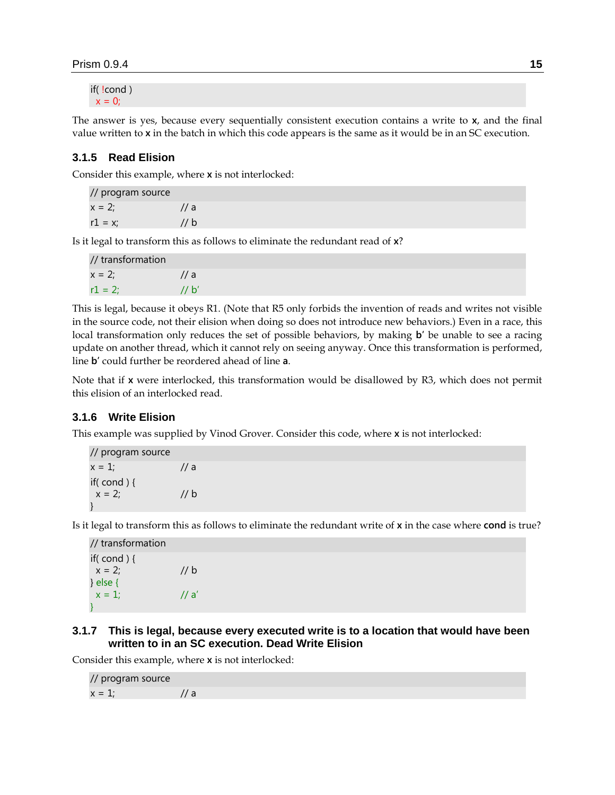if( !cond )  $x = 0$ ;

The answer is yes, because every sequentially consistent execution contains a write to **x**, and the final value written to **x** in the batch in which this code appears is the same as it would be in an SC execution.

### **3.1.5 Read Elision**

Consider this example, where **x** is not interlocked:

| // program source |                 |
|-------------------|-----------------|
| $x = 2$ :         | $\frac{1}{a}$   |
| $r1 = x$ ;        | // $\mathsf{b}$ |

Is it legal to transform this as follows to eliminate the redundant read of **x**?

| // transformation |               |
|-------------------|---------------|
| $x = 2$ :         | $\frac{1}{a}$ |
| $r1 = 2$ ;        | 11 b'         |

This is legal, because it obeys R1. (Note that R5 only forbids the invention of reads and writes not visible in the source code, not their elision when doing so does not introduce new behaviors.) Even in a race, this local transformation only reduces the set of possible behaviors, by making **b'** be unable to see a racing update on another thread, which it cannot rely on seeing anyway. Once this transformation is performed, line **b'** could further be reordered ahead of line **a**.

Note that if **x** were interlocked, this transformation would be disallowed by R3, which does not permit this elision of an interlocked read.

## **3.1.6 Write Elision**

This example was supplied by Vinod Grover. Consider this code, where **x** is not interlocked:

| // program source |      |
|-------------------|------|
| $x = 1$ :         | // a |
| if( $cond$ ) {    |      |
| $x = 2$ ;         | 1/b  |
|                   |      |

Is it legal to transform this as follows to eliminate the redundant write of **x** in the case where **cond** is true?

// transformation if( cond ) {  $x = 2$ ; // b } else {  $x = 1$ ; // a' }

### **3.1.7 This is legal, because every executed write is to a location that would have been written to in an SC execution. Dead Write Elision**

Consider this example, where **x** is not interlocked:

// program source  $x = 1$ ; // a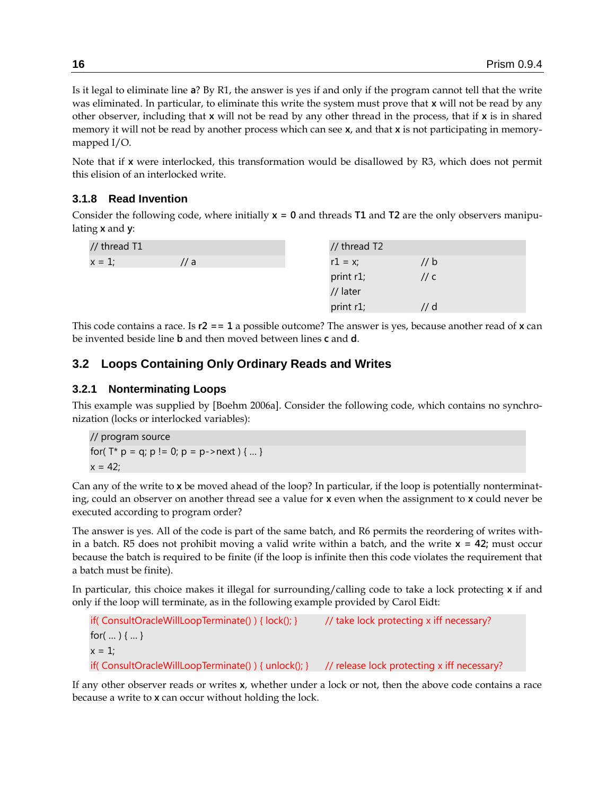Is it legal to eliminate line **a**? By R1, the answer is yes if and only if the program cannot tell that the write was eliminated. In particular, to eliminate this write the system must prove that **x** will not be read by any other observer, including that **x** will not be read by any other thread in the process, that if **x** is in shared memory it will not be read by another process which can see **x**, and that **x** is not participating in memorymapped I/O.

Note that if **x** were interlocked, this transformation would be disallowed by R3, which does not permit this elision of an interlocked write.

## **3.1.8 Read Invention**

Consider the following code, where initially **x = 0** and threads **T1** and **T2** are the only observers manipulating **x** and **y**:

| // thread T1 |      | // thread T2 |      |
|--------------|------|--------------|------|
| $x = 1$ ;    | // a | $r1 = x;$    | // b |
|              |      | print r1;    | // c |
|              |      | // later     |      |
|              |      | print r1;    | // d |

This code contains a race. Is **r2 == 1** a possible outcome? The answer is yes, because another read of **x** can be invented beside line **b** and then moved between lines **c** and **d**.

# **3.2 Loops Containing Only Ordinary Reads and Writes**

# <span id="page-15-0"></span>**3.2.1 Nonterminating Loops**

This example was supplied by [Boehm 2006a]. Consider the following code, which contains no synchronization (locks or interlocked variables):

// program source for( $T^*$  p = q; p != 0; p = p->next ) { ... }  $x = 42$ ;

Can any of the write to **x** be moved ahead of the loop? In particular, if the loop is potentially nonterminating, could an observer on another thread see a value for **x** even when the assignment to **x** could never be executed according to program order?

The answer is yes. All of the code is part of the same batch, and R6 permits the reordering of writes within a batch. R5 does not prohibit moving a valid write within a batch, and the write **x = 42;** must occur because the batch is required to be finite (if the loop is infinite then this code violates the requirement that a batch must be finite).

In particular, this choice makes it illegal for surrounding/calling code to take a lock protecting **x** if and only if the loop will terminate, as in the following example provided by Carol Eidt:

```
if( ConsultOracleWillLoopTerminate() ) { lock(); } // take lock protecting x iff necessary?
for( … ) { … }
x = 1;
if( ConsultOracleWillLoopTerminate() ) { unlock(); } // release lock protecting x iff necessary?
```
If any other observer reads or writes **x**, whether under a lock or not, then the above code contains a race because a write to **x** can occur without holding the lock.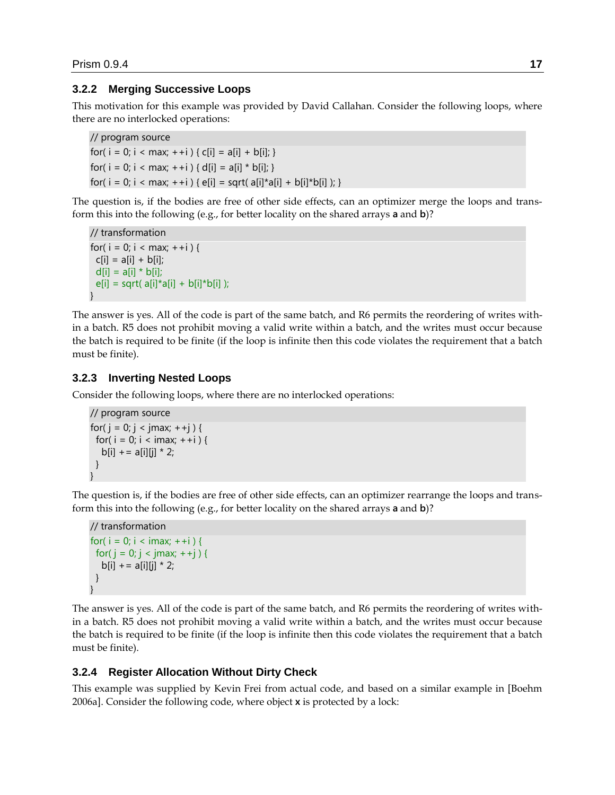### **3.2.2 Merging Successive Loops**

This motivation for this example was provided by David Callahan. Consider the following loops, where there are no interlocked operations:

```
// program source
```

```
for( i = 0; i < max; +i ) { c[i] = a[i] + b[i]; }
for( i = 0; i < max; ++i ) { d[i] = a[i] * b[i]; }
for( i = 0; i < max; ++i ) { e[i] = sqrt( a[i]^* a[i] + b[i]^* b[i] ); }
```
The question is, if the bodies are free of other side effects, can an optimizer merge the loops and transform this into the following (e.g., for better locality on the shared arrays **a** and **b**)?

```
// transformation
for( i = 0; i < max; +i ) {
 c[i] = a[i] + b[i];d[i] = a[i] * b[i];e[i] = sqrt([a[i]*a[i] + b[i]*b[i];
}
```
The answer is yes. All of the code is part of the same batch, and R6 permits the reordering of writes within a batch. R5 does not prohibit moving a valid write within a batch, and the writes must occur because the batch is required to be finite (if the loop is infinite then this code violates the requirement that a batch must be finite).

### **3.2.3 Inverting Nested Loops**

Consider the following loops, where there are no interlocked operations:

```
// program source
for( j = 0; j < j max; ++j ) {
 for( i = 0; i < imax; ++i ) {
  b[i] + = a[i][j] * 2;
  }
}
```
The question is, if the bodies are free of other side effects, can an optimizer rearrange the loops and transform this into the following (e.g., for better locality on the shared arrays **a** and **b**)?

```
// transformation
for( i = 0; i < imax; ++i ) {
 for( j = 0; j < j | (max; ++j) {
  b[i] + = a[i][j] * 2;
  }
}
```
The answer is yes. All of the code is part of the same batch, and R6 permits the reordering of writes within a batch. R5 does not prohibit moving a valid write within a batch, and the writes must occur because the batch is required to be finite (if the loop is infinite then this code violates the requirement that a batch must be finite).

#### <span id="page-16-0"></span>**3.2.4 Register Allocation Without Dirty Check**

This example was supplied by Kevin Frei from actual code, and based on a similar example in [Boehm 2006a]. Consider the following code, where object **x** is protected by a lock: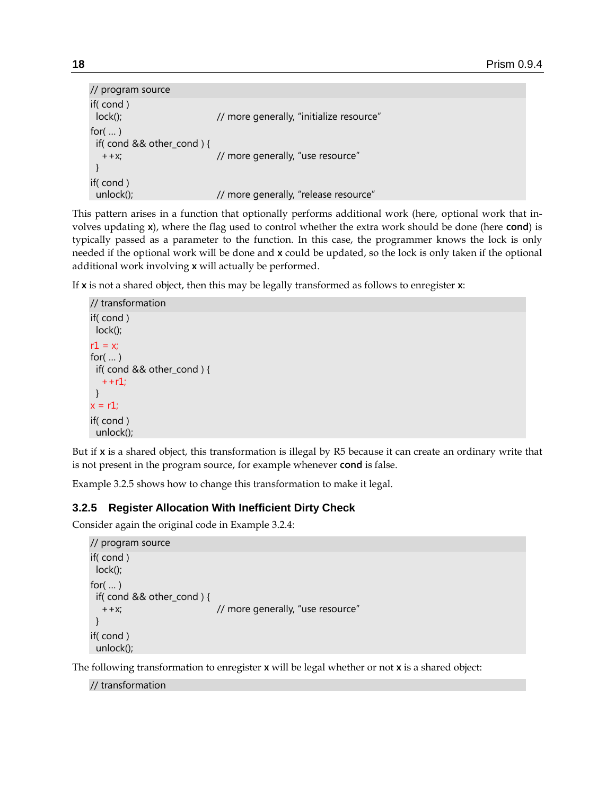```
// program source
if( cond )
 lock(); \frac{1}{2} // more generally, "initialize resource"
for(...)
  if( cond && other_cond ) {
   ++x; // more generally, "use resource"
 }
if( cond )
 unlock(); \frac{1}{2} // more generally, "release resource"
```
This pattern arises in a function that optionally performs additional work (here, optional work that involves updating **x**), where the flag used to control whether the extra work should be done (here **cond**) is typically passed as a parameter to the function. In this case, the programmer knows the lock is only needed if the optional work will be done and **x** could be updated, so the lock is only taken if the optional additional work involving **x** will actually be performed.

If **x** is not a shared object, then this may be legally transformed as follows to enregister **x**:

```
// transformation
if( cond )
  lock();
r1 = xfor( … )
  if( cond && other_cond ) {
  + + r1;
 }
x = r1;
if( cond )
 unlock();
```
But if **x** is a shared object, this transformation is illegal by R5 because it can create an ordinary write that is not present in the program source, for example whenever **cond** is false.

Example [3.2.5](#page-17-0) shows how to change this transformation to make it legal.

# <span id="page-17-0"></span>**3.2.5 Register Allocation With Inefficient Dirty Check**

Consider again the original code in Example [3.2.4:](#page-16-0)

```
// program source
if( cond )
 lock();
for(...)
  if( cond && other_cond ) {
   ++x; // more generally, "use resource"
 }
if( cond )
 unlock();
```
The following transformation to enregister **x** will be legal whether or not **x** is a shared object:

// transformation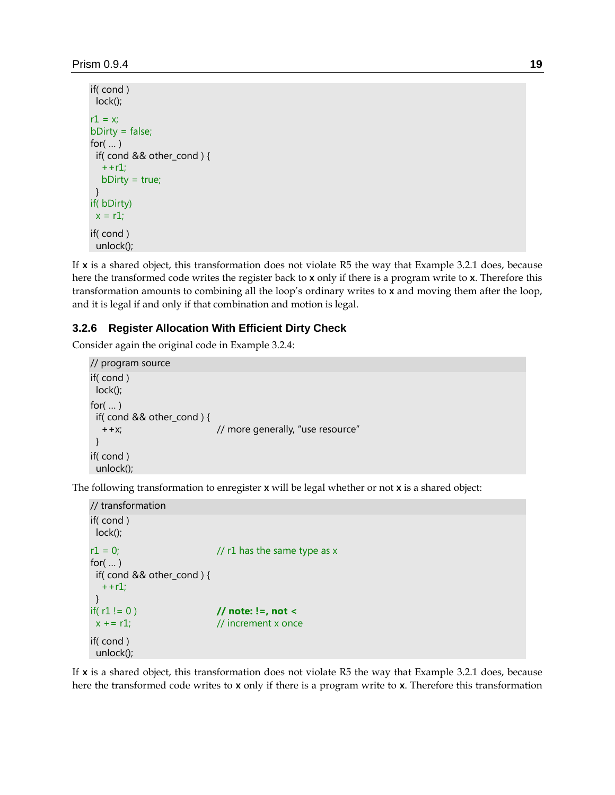```
if( cond )
  lock();
r1 = x;
bDirty = false;
for(\dots) if( cond && other_cond ) {
  + + r1;
   bDirty = true;
  }
if( bDirty)
 x = r1;
if( cond )
  unlock();
```
If **x** is a shared object, this transformation does not violate R5 the way that Example [3.2.1](#page-15-0) does, because here the transformed code writes the register back to **x** only if there is a program write to **x**. Therefore this transformation amounts to combining all the loop's ordinary writes to **x** and moving them after the loop, and it is legal if and only if that combination and motion is legal.

### **3.2.6 Register Allocation With Efficient Dirty Check**

Consider again the original code in Example [3.2.4:](#page-16-0)

```
// program source
if( cond )
 lock();
for(...)
  if( cond && other_cond ) {
   ++x; // more generally, "use resource"
 }
if( cond )
 unlock();
```
The following transformation to enregister **x** will be legal whether or not **x** is a shared object:

```
// transformation
if( cond )
 lock();
r1 = 0; \frac{1}{r1} has the same type as x
for(\ldots) if( cond && other_cond ) {
  + + r1;
 }
if( r1 != 0 ) // note: !=, not <
x \div = r1; // increment x once
if( cond )
 unlock();
```
If **x** is a shared object, this transformation does not violate R5 the way that Example [3.2.1](#page-15-0) does, because here the transformed code writes to **x** only if there is a program write to **x**. Therefore this transformation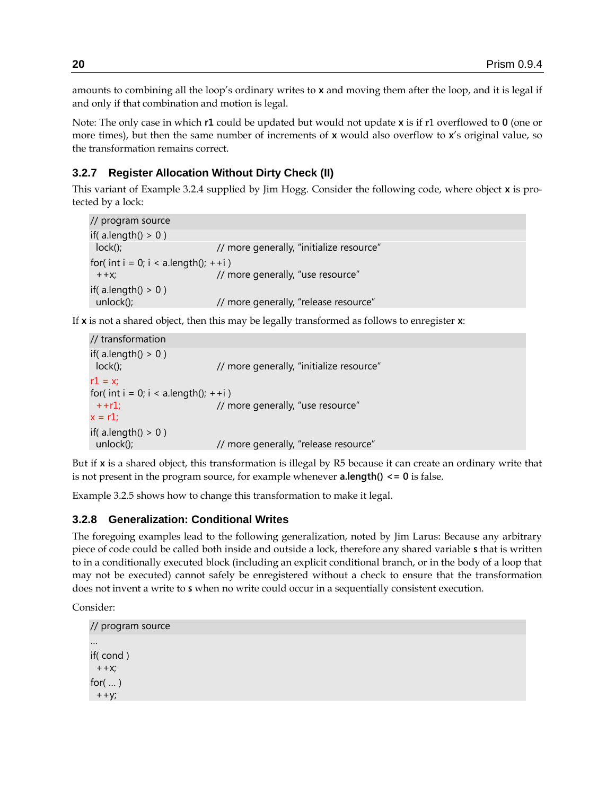amounts to combining all the loop's ordinary writes to **x** and moving them after the loop, and it is legal if and only if that combination and motion is legal.

Note: The only case in which **r1** could be updated but would not update **x** is if r1 overflowed to **0** (one or more times), but then the same number of increments of **x** would also overflow to **x**'s original value, so the transformation remains correct.

# <span id="page-19-1"></span>**3.2.7 Register Allocation Without Dirty Check (II)**

This variant of Example [3.2.4](#page-16-0) supplied by Jim Hogg. Consider the following code, where object **x** is protected by a lock:

```
// program source
if(a.length() > 0)
 lock(); \sqrt{2} // more generally, "initialize resource"
for( int i = 0; i < a.length(); ++i )
 ++x; \frac{1}{2} // more generally, "use resource"
if( a.length() > 0 )
unlock(); \frac{1}{2} more generally, "release resource"
```
If **x** is not a shared object, then this may be legally transformed as follows to enregister **x**:

```
// transformation
if(a.length() > 0)
 lock(); // more generally, "initialize resource"
r1 = x;
for( int i = 0; i < a.length(); ++i )
 ++r1; // more generally, "use resource"
x = r1;
if(a.length() > 0)
unlock(); \frac{1}{2} more generally, "release resource"
```
But if **x** is a shared object, this transformation is illegal by R5 because it can create an ordinary write that is not present in the program source, for example whenever **a.length() <= 0** is false.

Example [3.2.5](#page-17-0) shows how to change this transformation to make it legal.

#### <span id="page-19-0"></span>**3.2.8 Generalization: Conditional Writes**

The foregoing examples lead to the following generalization, noted by Jim Larus: Because any arbitrary piece of code could be called both inside and outside a lock, therefore any shared variable **s** that is written to in a conditionally executed block (including an explicit conditional branch, or in the body of a loop that may not be executed) cannot safely be enregistered without a check to ensure that the transformation does not invent a write to **s** when no write could occur in a sequentially consistent execution.

Consider:

```
// program source
…
if( cond ) 
 ++x;for(...)
++y;
```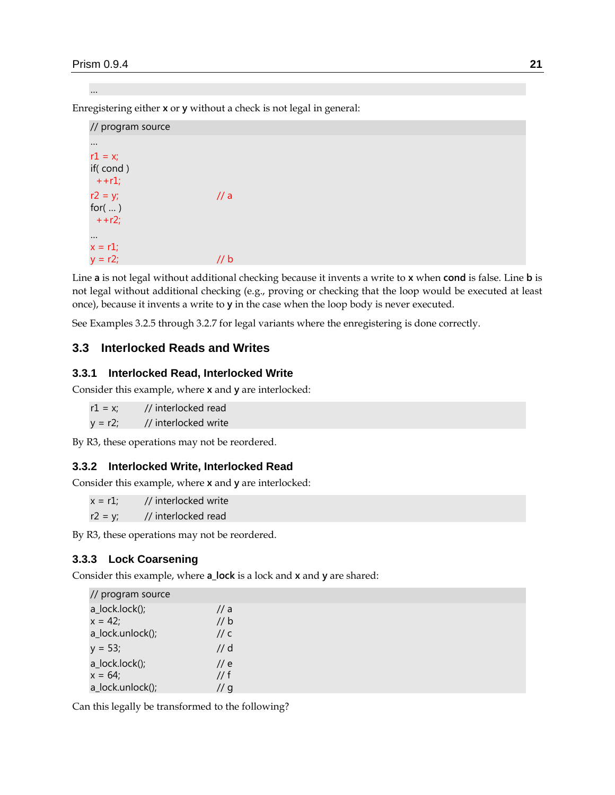…

Enregistering either **x** or **y** without a check is not legal in general:

| // program source                                 |      |
|---------------------------------------------------|------|
| $r1 = x;$<br>if(cond)                             |      |
| $++1;$<br>$r2 = y;$<br>for $(\dots)$<br>$+ + r2;$ | // a |
| $x = r1$ ;<br>$y = r2;$                           | b    |

Line **a** is not legal without additional checking because it invents a write to **x** when **cond** is false. Line **b** is not legal without additional checking (e.g., proving or checking that the loop would be executed at least once), because it invents a write to **y** in the case when the loop body is never executed.

See Examples [3.2.5](#page-17-0) through [3.2.7](#page-19-1) for legal variants where the enregistering is done correctly.

# **3.3 Interlocked Reads and Writes**

### **3.3.1 Interlocked Read, Interlocked Write**

Consider this example, where **x** and **y** are interlocked:

| $r1 = x$ ; | // interlocked read  |
|------------|----------------------|
| $y = r2;$  | // interlocked write |

By R3, these operations may not be reordered.

#### <span id="page-20-0"></span>**3.3.2 Interlocked Write, Interlocked Read**

Consider this example, where **x** and **y** are interlocked:

 $x = r1$ ; // interlocked write  $r2 = y$ ; // interlocked read

By R3, these operations may not be reordered.

### **3.3.3 Lock Coarsening**

Consider this example, where **a\_lock** is a lock and **x** and **y** are shared:

| // program source |               |
|-------------------|---------------|
| a_lock.lock();    | // a          |
| $x = 42$ ;        | // b          |
| a_lock.unlock();  | // c          |
| $y = 53;$         | $\prime$ / d  |
| a_lock.lock();    | $\frac{1}{e}$ |
| $x = 64$ ;        | // f          |
| a_lock.unlock();  | // g          |

Can this legally be transformed to the following?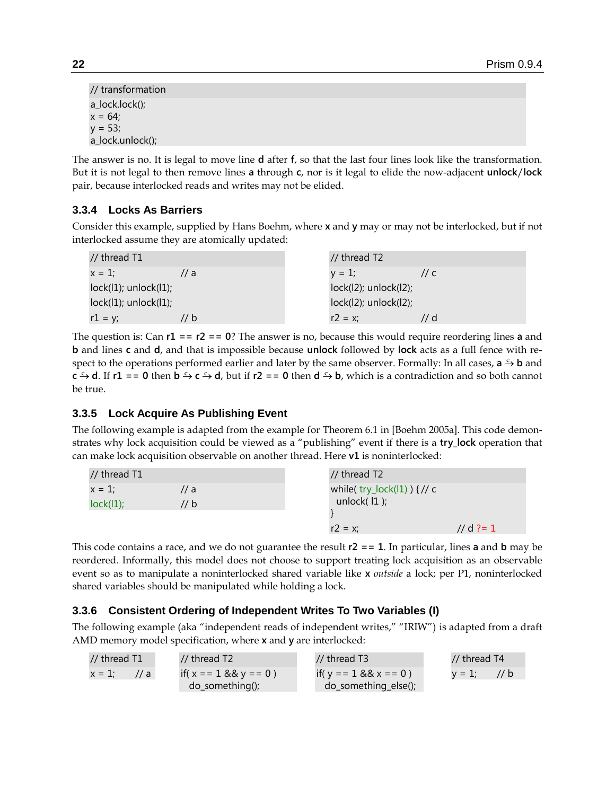| a_lock.unlock(); | // transformation |  |  |
|------------------|-------------------|--|--|
|                  | a_lock.lock();    |  |  |
|                  | $x = 64;$         |  |  |
|                  | $y = 53;$         |  |  |
|                  |                   |  |  |

The answer is no. It is legal to move line **d** after **f**, so that the last four lines look like the transformation. But it is not legal to then remove lines **a** through **c**, nor is it legal to elide the now-adjacent **unlock**/**lock** pair, because interlocked reads and writes may not be elided.

# **3.3.4 Locks As Barriers**

Consider this example, supplied by Hans Boehm, where **x** and **y** may or may not be interlocked, but if not interlocked assume they are atomically updated:

| // thread $T1$             |                  | // thread T2                 |               |
|----------------------------|------------------|------------------------------|---------------|
| $x = 1$ :                  | $\prime\prime$ a | $v = 1$ :                    | $\frac{1}{c}$ |
| $lock(1)$ ; unlock $(1)$ ; |                  | $lock(12)$ ; unlock $(12)$ ; |               |
| $lock(1)$ ; unlock $(1)$ ; |                  | $lock(12)$ ; unlock $(12)$ ; |               |
| $r1 = y;$                  | // b             | $r2 = x$ ;                   | '/ d          |

The question is: Can **r1 == r2 == 0**? The answer is no, because this would require reordering lines **a** and **b** and lines **c** and **d**, and that is impossible because **unlock** followed by **lock** acts as a full fence with respect to the operations performed earlier and later by the same observer. Formally: In all cases, **a**  $\frac{c}{2}$ **b** and **c**  $\div$  **d**. If **r1** = **0** then **b**  $\div$  **c**  $\div$  **d**, but if **r2** = **0** then **d**  $\div$  **b**, which is a contradiction and so both cannot be true.

# **3.3.5 Lock Acquire As Publishing Event**

The following example is adapted from the example for Theorem 6.1 in [Boehm 2005a]. This code demonstrates why lock acquisition could be viewed as a "publishing" event if there is a **try\_lock** operation that can make lock acquisition observable on another thread. Here **v1** is noninterlocked:

| // thread T1 |      | // thread T2                   |           |
|--------------|------|--------------------------------|-----------|
| $x = 1$ :    | // a | while( $try\_lock(11)$ ) {// c |           |
| lock(1);     | // b | unlock $(11)$ ;                |           |
|              |      |                                |           |
|              |      | $r2 = x$ ;                     | // d ?= 1 |

This code contains a race, and we do not guarantee the result **r2 == 1**. In particular, lines **a** and **b** may be reordered. Informally, this model does not choose to support treating lock acquisition as an observable event so as to manipulate a noninterlocked shared variable like **x** *outside* a lock; per P1, noninterlocked shared variables should be manipulated while holding a lock.

# **3.3.6 Consistent Ordering of Independent Writes To Two Variables (I)**

The following example (aka "independent reads of independent writes," "IRIW") is adapted from a draft AMD memory model specification, where **x** and **y** are interlocked:

| // thread T1               | // thread T2             | // thread T3             | // thread T4  |
|----------------------------|--------------------------|--------------------------|---------------|
| $x = 1$ :<br>$\frac{1}{2}$ | if( $x = 1$ && $y = 0$ ) | if( $y = 1$ && $x = 0$ ) | $v = 1:$ // b |
|                            | $do\_something()$ ;      | do_something_else();     |               |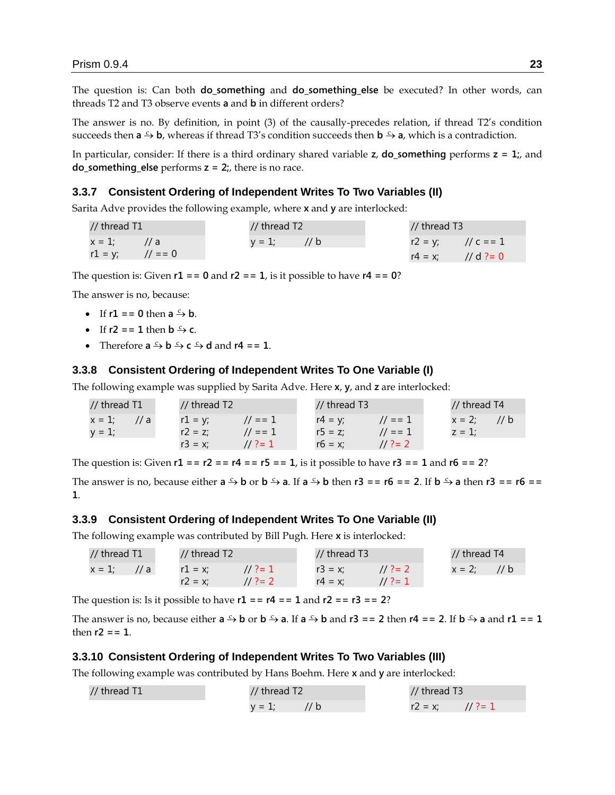The question is: Can both **do\_something** and **do\_something\_else** be executed? In other words, can threads T2 and T3 observe events **a** and **b** in different orders?

The answer is no. By definition, in point (3) of the causally-precedes relation, if thread T2's condition succeeds then  $a \xrightarrow{c} b$ , whereas if thread T3's condition succeeds then  $b \xrightarrow{c} a$ , which is a contradiction.

In particular, consider: If there is a third ordinary shared variable **z**, **do\_something** performs **z = 1;**, and **do\_something\_else** performs **z = 2;**, there is no race.

#### **3.3.7 Consistent Ordering of Independent Writes To Two Variables (II)**

Sarita Adve provides the following example, where **x** and **y** are interlocked:

| // thread T1                 |  | // thread T2  |  | // thread T3          |  |
|------------------------------|--|---------------|--|-----------------------|--|
| $x = 1:$ // a                |  | $y = 1$ ; //b |  | $r2 = y$ ; // c = = 1 |  |
| $r1 = y$ ; $\frac{1}{2} = 0$ |  |               |  | $r4 = x$ ; // d ?= 0  |  |

The question is: Given  $r1 = 0$  and  $r2 = 1$ , is it possible to have  $r4 = 0$ ?

The answer is no, because:

- If  $r1 = 0$  then  $a \xrightarrow{c} b$ .
- If  $r2 = 1$  then  $b \stackrel{c}{\rightarrow} c$ .
- Therefore  $\mathbf{a} \xrightarrow{c} \mathbf{b} \xrightarrow{c} \mathbf{c} \xrightarrow{c} \mathbf{d}$  and  $\mathbf{r4} = 1$ .

#### **3.3.8 Consistent Ordering of Independent Writes To One Variable (I)**

The following example was supplied by Sarita Adve. Here **x**, **y**, and **z** are interlocked:

| // thread T1               | // thread T2 |           | // thread T3 |                     | // thread T4 |                |
|----------------------------|--------------|-----------|--------------|---------------------|--------------|----------------|
| $x = 1$ ;<br>$\frac{1}{a}$ | $r1 = v$ ;   | $1/7 = 1$ | $r4 = v$ ;   | $1/1 = 1$           |              | $x = 2$ ; // b |
| $y = 1$ ;                  | $r2 = z$     | $1/1 = 1$ | $r5 = z$ :   | $\frac{1}{2}$ = = 1 | $z = 1$ :    |                |
|                            | $r3 = x$     | $1/2=1$   | $r6 = x$     | $11.3 = 2$          |              |                |

The question is: Given  $r1 = r2 = r4 = r5 = 1$ , is it possible to have  $r3 = 1$  and  $r6 = 2$ ?

The answer is no, because either  $a \xrightarrow{c} b$  or  $b \xrightarrow{c} a$ . If  $a \xrightarrow{c} b$  then  $r3 == r6 == 2$ . If  $b \xrightarrow{c} a$  then  $r3 == r6 ==$ **1**.

#### **3.3.9 Consistent Ordering of Independent Writes To One Variable (II)**

The following example was contributed by Bill Pugh. Here **x** is interlocked:

| // thread T1   | // thread T2           | $1/$ thread T3           | // thread T4 |
|----------------|------------------------|--------------------------|--------------|
| $x = 1$ ; // a | $r1 = x$<br>$11.3 = 1$ | $11.3 = 2$<br>$r3 = x$ ; | $x = 2$ ;    |
|                | $11.3 = 2$<br>$r2 = x$ | $11.7 = 1$<br>$r4 = x$ : |              |

The question is: Is it possible to have **r1 == r4 == 1** and **r2 == r3 == 2**?

The answer is no, because either  $a \xrightarrow{c} b$  or  $b \xrightarrow{c} a$ . If  $a \xrightarrow{c} b$  and  $r3 == 2$  then  $r4 == 2$ . If  $b \xrightarrow{c} a$  and  $r1 == 1$ then  $r2 = 1$ .

#### **3.3.10 Consistent Ordering of Independent Writes To Two Variables (III)**

The following example was contributed by Hans Boehm. Here **x** and **y** are interlocked:

| // thread T1 | // thread T2     | // thread T3       |
|--------------|------------------|--------------------|
|              | 1/b<br>$v = 1$ : | $r2 = x$ : // ?= 1 |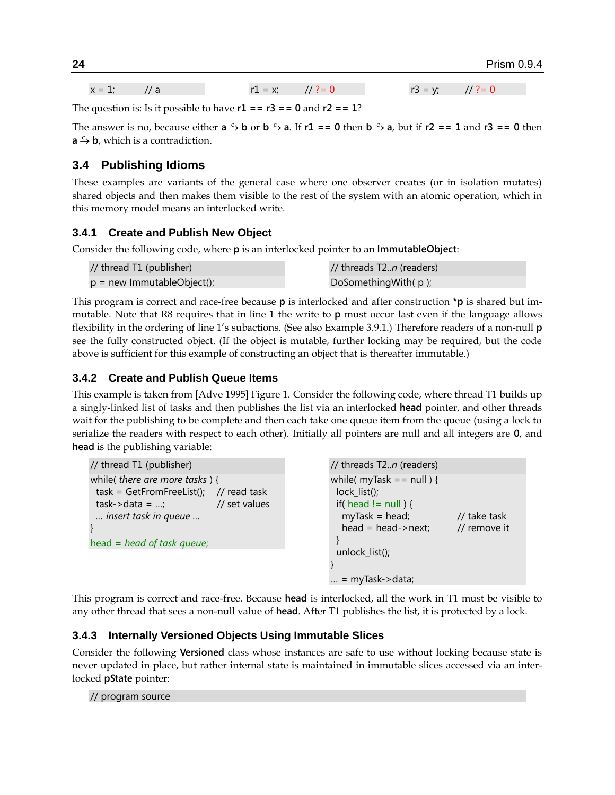$x = 1;$  // a r1 = x; // ?= 0 r3 = y; // ?= 0

The question is: Is it possible to have  $r1 = r3 = 0$  and  $r2 = 1$ ?

The answer is no, because either  $a \xrightarrow{c} b$  or  $b \xrightarrow{c} a$ . If  $r1 == 0$  then  $b \xrightarrow{c} a$ , but if  $r2 == 1$  and  $r3 == 0$  then  $a \xrightarrow{c} b$ , which is a contradiction.

# **3.4 Publishing Idioms**

These examples are variants of the general case where one observer creates (or in isolation mutates) shared objects and then makes them visible to the rest of the system with an atomic operation, which in this memory model means an interlocked write.

### **3.4.1 Create and Publish New Object**

Consider the following code, where **p** is an interlocked pointer to an **ImmutableObject**:

| // thread T1 (publisher)   | // threads T2 <i>n</i> (readers) |
|----------------------------|----------------------------------|
| p = new ImmutableObject(); | DoSomething With $(p)$ ;         |

This program is correct and race-free because **p** is interlocked and after construction **\*p** is shared but immutable. Note that R8 requires that in line 1 the write to **p** must occur last even if the language allows flexibility in the ordering of line 1's subactions. (See also Example [3.9.1.](#page-32-0)) Therefore readers of a non-null **p** see the fully constructed object. (If the object is mutable, further locking may be required, but the code above is sufficient for this example of constructing an object that is thereafter immutable.)

### **3.4.2 Create and Publish Queue Items**

This example is taken from [Adve 1995] Figure 1. Consider the following code, where thread T1 builds up a singly-linked list of tasks and then publishes the list via an interlocked **head** pointer, and other threads wait for the publishing to be complete and then each take one queue item from the queue (using a lock to serialize the readers with respect to each other). Initially all pointers are null and all integers are **0**, and **head** is the publishing variable:

```
// thread T1 (publisher)
while( there are more tasks ) {
 task = GetFromFreeList(); // read task
 task->data = ...; // set values
  … insert task in queue …
}
head = head of task queue;
                                                        // threads T2..n (readers)
                                                        while(myTask == null) {
                                                          lock_list();
                                                         if( head != null ) {
                                                          myTask = head; \frac{1}{10} take task
                                                           head = head->next; // remove it
                                                          }
                                                          unlock_list();
                                                        }
                                                        \ldots = myTask->data;
```
This program is correct and race-free. Because **head** is interlocked, all the work in T1 must be visible to any other thread that sees a non-null value of **head**. After T1 publishes the list, it is protected by a lock.

#### **3.4.3 Internally Versioned Objects Using Immutable Slices**

Consider the following **Versioned** class whose instances are safe to use without locking because state is never updated in place, but rather internal state is maintained in immutable slices accessed via an interlocked **pState** pointer:

// program source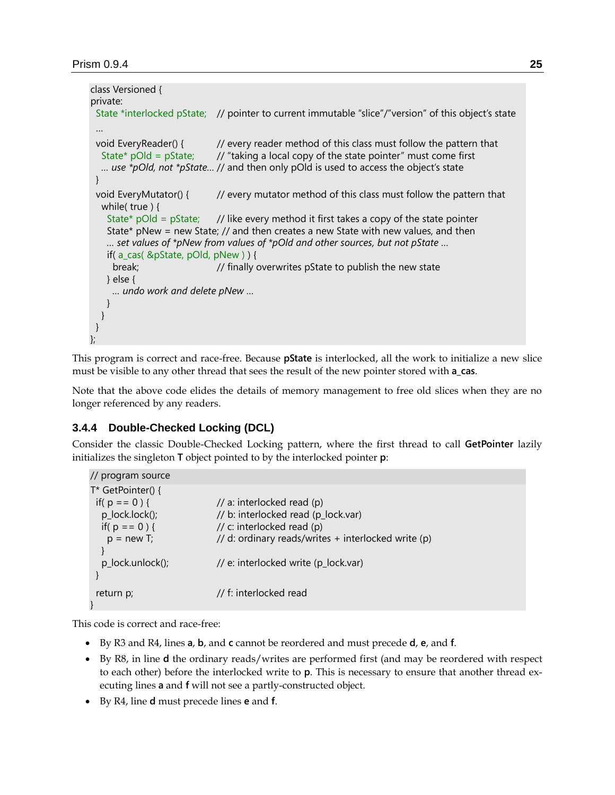```
class Versioned {
private:
  State *interlocked pState; // pointer to current immutable "slice"/"version" of this object's state
  …
 void EveryReader() { \frac{1}{2} // every reader method of this class must follow the pattern that
  State* pOld = pState; \frac{1}{2} // "taking a local copy of the state pointer" must come first
   … use *pOld, not *pState… // and then only pOld is used to access the object's state
  }
 void EveryMutator() { // every mutator method of this class must follow the pattern that
   while( true ) {
   State* pOld = pState; // like every method it first takes a copy of the state pointer
   State* pNew = new State; // and then creates a new State with new values, and then
    … set values of *pNew from values of *pOld and other sources, but not pState …
    if( a_cas( &pState, pOld, pNew ) ) {
      break; // finally overwrites pState to publish the new state
    } else {
      … undo work and delete pNew …
    }
   }
  }
};
```
This program is correct and race-free. Because **pState** is interlocked, all the work to initialize a new slice must be visible to any other thread that sees the result of the new pointer stored with **a\_cas**.

Note that the above code elides the details of memory management to free old slices when they are no longer referenced by any readers.

# <span id="page-24-0"></span>**3.4.4 Double-Checked Locking (DCL)**

Consider the classic Double-Checked Locking pattern, where the first thread to call **GetPointer** lazily initializes the singleton **T** object pointed to by the interlocked pointer **p**:

| // program source                                                                          |                                                                                                                                                        |
|--------------------------------------------------------------------------------------------|--------------------------------------------------------------------------------------------------------------------------------------------------------|
| T* GetPointer() {<br>if( $p == 0$ ) {<br>p_lock.lock();<br>if( $p == 0$ ) {<br>$p = new T$ | // a: interlocked read (p)<br>// b: interlocked read (p_lock.var)<br>// c: interlocked read (p)<br>// d: ordinary reads/writes + interlocked write (p) |
| p_lock.unlock();                                                                           | // e: interlocked write (p_lock.var)                                                                                                                   |
| return p;                                                                                  | // f: interlocked read                                                                                                                                 |

This code is correct and race-free:

- By R3 and R4, lines **a**, **b**, and **c** cannot be reordered and must precede **d**, **e**, and **f**.
- By R8, in line **d** the ordinary reads/writes are performed first (and may be reordered with respect to each other) before the interlocked write to **p**. This is necessary to ensure that another thread executing lines **a** and **f** will not see a partly-constructed object.
- By R4, line **d** must precede lines **e** and **f**.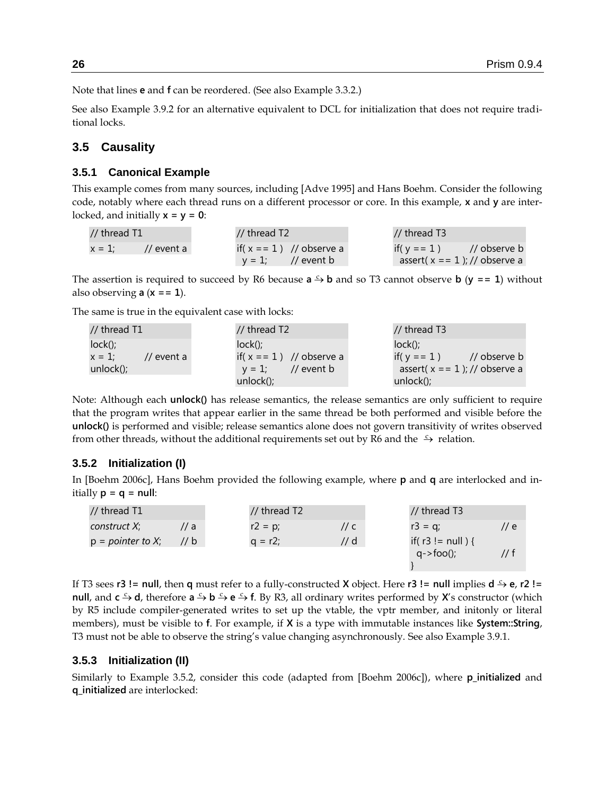Note that lines **e** and **f** can be reordered. (See also Example [3.3.2.](#page-20-0))

See also Example [3.9.2](#page-33-0) for an alternative equivalent to DCL for initialization that does not require traditional locks.

## **3.5 Causality**

#### <span id="page-25-0"></span>**3.5.1 Canonical Example**

This example comes from many sources, including [Adve 1995] and Hans Boehm. Consider the following code, notably where each thread runs on a different processor or core. In this example, **x** and **y** are interlocked, and initially **x = y = 0**:

| // thread T1 |                       | // thread T2         |                         | // thread T3 |                                  |
|--------------|-----------------------|----------------------|-------------------------|--------------|----------------------------------|
| $x = 1$ :    | $\frac{1}{2}$ event a |                      | if(x == 1) // observe a |              | if(y = = 1) // observe b         |
|              |                       | $y = 1$ ; // event b |                         |              | assert( $x == 1$ ); // observe a |

The assertion is required to succeed by R6 because  $a \rightarrow b$  and so T3 cannot observe **b** ( $y == 1$ ) without also observing **a** (**x == 1**).

The same is true in the equivalent case with locks:

| // thread $T1$          | // thread $T2$                    | // thread T3                             |
|-------------------------|-----------------------------------|------------------------------------------|
| $lock()$ ;              | $lock()$ :                        | $lock()$ :                               |
| $x = 1$ :<br>// event a | if( $x == 1$ ) // observe a       | $\frac{1}{2}$ observe b<br>if( $v = 1$ ) |
| unlock();               | // event $\mathsf b$<br>$v = 1$ : | assert( $x = 1$ ); // observe a          |
|                         | $unlock()$ ;                      | unlock $()$ ;                            |

Note: Although each **unlock()** has release semantics, the release semantics are only sufficient to require that the program writes that appear earlier in the same thread be both performed and visible before the **unlock()** is performed and visible; release semantics alone does not govern transitivity of writes observed from other threads, without the additional requirements set out by R6 and the  $\rightarrow$  relation.

#### <span id="page-25-2"></span>**3.5.2 Initialization (I)**

In [Boehm 2006c], Hans Boehm provided the following example, where **p** and **q** are interlocked and initially **p = q = null**:

| // thread T1        |                  | // thread T2 |                 | // thread T3                                   |                  |
|---------------------|------------------|--------------|-----------------|------------------------------------------------|------------------|
| construct X;        | $\prime\prime$ a | $r2 = p$ ;   | // $\mathsf{C}$ | $r3 = q$ ;                                     | $\prime\prime$ e |
| $p = pointer to X;$ | 1/b              | $a = r2$     | // d            | if( $r3 != null$ ) {<br>$q \rightarrow$ foo(); |                  |
|                     |                  |              |                 |                                                |                  |

If T3 sees  $r3$  != null, then  $q$  must refer to a fully-constructed **X** object. Here  $r3$  != null implies  $d \rightarrow e$ ,  $r2$  != **null**, and  $c \xrightarrow{c} d$ , therefore  $a \xrightarrow{c} b \xrightarrow{c} e \xrightarrow{c} f$ . By R3, all ordinary writes performed by **X**'s constructor (which by R5 include compiler-generated writes to set up the vtable, the vptr member, and initonly or literal members), must be visible to **f**. For example, if **X** is a type with immutable instances like **System::String**, T3 must not be able to observe the string's value changing asynchronously. See also Example [3.9.1.](#page-32-0)

#### <span id="page-25-1"></span>**3.5.3 Initialization (II)**

Similarly to Example [3.5.2,](#page-25-2) consider this code (adapted from [Boehm 2006c]), where **p\_initialized** and **q\_initialized** are interlocked: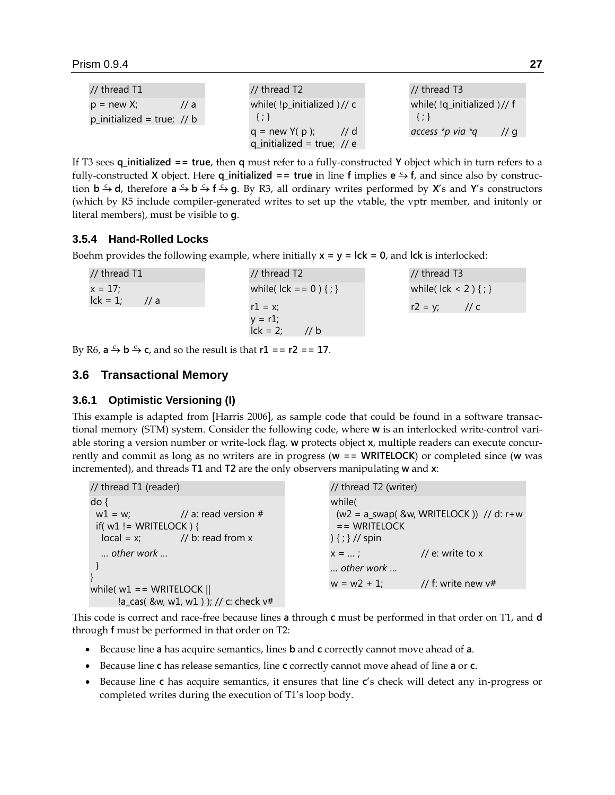| // thread T1               | // thread $T2$                   | // thread T3               |
|----------------------------|----------------------------------|----------------------------|
| $p = new X;$<br>1/a        | while( $\mu$ -initialized)// c   | while(!q_initialized)// f  |
| p_initialized = true; // b | $\{\cdot\}$                      | $\{ ; \}$                  |
|                            | $q = new Y(p);$<br>$\frac{1}{d}$ | access *p via *q<br>// $q$ |
|                            | q_initialized = true; // e       |                            |

If T3 sees **q\_initialized == true**, then **q** must refer to a fully-constructed **Y** object which in turn refers to a fully-constructed **X** object. Here **q\_initialized == true** in line **f** implies  $e \rightarrow f$ , and since also by construction  $b \xrightarrow{c} d$ , therefore  $a \xrightarrow{c} b \xrightarrow{c} f \xrightarrow{c} g$ . By R3, all ordinary writes performed by **X**'s and **Y**'s constructors (which by R5 include compiler-generated writes to set up the vtable, the vptr member, and initonly or literal members), must be visible to **g**.

# **3.5.4 Hand-Rolled Locks**

Boehm provides the following example, where initially **x = y = lck = 0**, and **lck** is interlocked:

| // thread T1                 | // thread T2                  | // thread T3               |
|------------------------------|-------------------------------|----------------------------|
| $x = 17$ ;                   | while( $lck == 0$ ) { ; }     | while( $lck < 2$ ) { ; }   |
| $lck = 1$ ;<br>$\frac{1}{a}$ | $r1 = x$ ;                    | $r2 = v$ ;<br>// $\subset$ |
|                              | $y = r1$ ;                    |                            |
|                              | $\overline{l}$ ck = 2;<br>1/b |                            |

By R6,  $a \xrightarrow{c} b \xrightarrow{c} c$ , and so the result is that  $r1 = r2 = r17$ .

# **3.6 Transactional Memory**

# <span id="page-26-0"></span>**3.6.1 Optimistic Versioning (I)**

This example is adapted from [Harris 2006], as sample code that could be found in a software transactional memory (STM) system. Consider the following code, where **w** is an interlocked write-control variable storing a version number or write-lock flag, **w** protects object **x**, multiple readers can execute concurrently and commit as long as no writers are in progress (**w == WRITELOCK**) or completed since (**w** was incremented), and threads **T1** and **T2** are the only observers manipulating **w** and **x**:

| // thread T1 (reader)                                                                                                                                                                                             | // thread T2 (writer)                                                                                                                                                                                 |
|-------------------------------------------------------------------------------------------------------------------------------------------------------------------------------------------------------------------|-------------------------------------------------------------------------------------------------------------------------------------------------------------------------------------------------------|
| $do$ {<br>$w1 = w$ ; // a: read version #<br>if( $w1$ ! = WRITELOCK) {<br>$local = x$ ; // b: read from x<br>$\ldots$ other work $\ldots$<br>while( $w1 == WRITELOCK$   <br>!a_cas( &w, w1, w1) ); // c: check v# | while(<br>$(w2 = a$ _swap( &w, WRITELOCK )) // d: r+w<br>$=$ WRITELOCK<br>$({};}/$ // spin<br>// e: write to x<br>$X =  ;$<br>$\ldots$ other work $\ldots$<br>// f: write new $v#$<br>$w = w^2 + 1$ ; |
|                                                                                                                                                                                                                   |                                                                                                                                                                                                       |

This code is correct and race-free because lines **a** through **c** must be performed in that order on T1, and **d** through **f** must be performed in that order on T2:

- Because line **a** has acquire semantics, lines **b** and **c** correctly cannot move ahead of **a**.
- Because line **c** has release semantics, line **c** correctly cannot move ahead of line **a** or **c**.
- Because line **c** has acquire semantics, it ensures that line **c**'s check will detect any in-progress or completed writes during the execution of T1's loop body.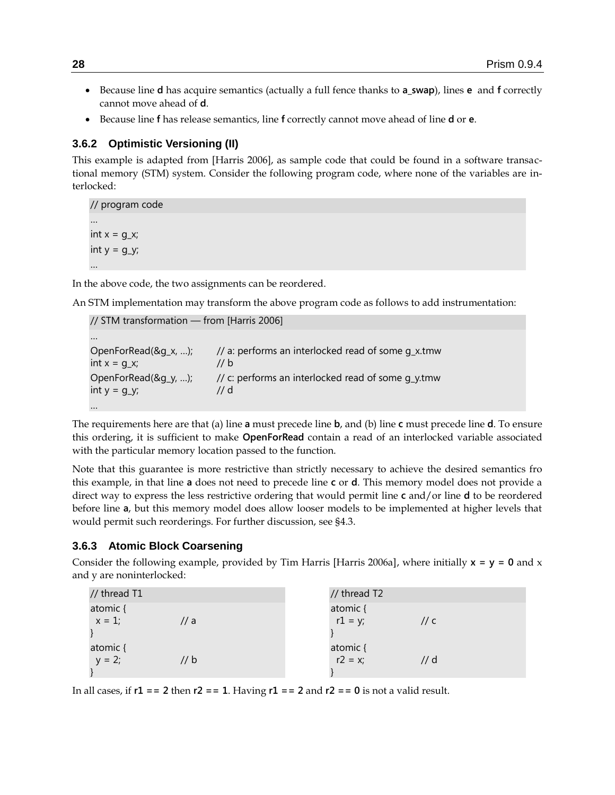- Because line **d** has acquire semantics (actually a full fence thanks to **a\_swap**), lines **e** and **f** correctly cannot move ahead of **d**.
- Because line **f** has release semantics, line **f** correctly cannot move ahead of line **d** or **e**.

# <span id="page-27-0"></span>**3.6.2 Optimistic Versioning (II)**

This example is adapted from [Harris 2006], as sample code that could be found in a software transactional memory (STM) system. Consider the following program code, where none of the variables are interlocked:

// program code … int  $x = g_x$ ; int  $y = g_y$ ; …

In the above code, the two assignments can be reordered.

An STM implementation may transform the above program code as follows to add instrumentation:

| // STM transformation - from [Harris 2006] |                                                           |
|--------------------------------------------|-----------------------------------------------------------|
| $\cdots$                                   |                                                           |
| OpenForRead(&g_x, );<br>$int x = q_x$      | // a: performs an interlocked read of some q_x.tmw<br>1/b |
| OpenForRead(&g_y, );<br>int $y = g_y$ ;    | // c: performs an interlocked read of some q_y.tmw<br>1/d |
| $\cdots$                                   |                                                           |

The requirements here are that (a) line **a** must precede line **b**, and (b) line **c** must precede line **d**. To ensure this ordering, it is sufficient to make **OpenForRead** contain a read of an interlocked variable associated with the particular memory location passed to the function.

Note that this guarantee is more restrictive than strictly necessary to achieve the desired semantics fro this example, in that line **a** does not need to precede line **c** or **d**. This memory model does not provide a direct way to express the less restrictive ordering that would permit line **c** and/or line **d** to be reordered before line **a**, but this memory model does allow looser models to be implemented at higher levels that would permit such reorderings. For further discussion, see [§4.3.](#page-36-0)

### <span id="page-27-1"></span>**3.6.3 Atomic Block Coarsening**

Consider the following example, provided by Tim Harris [Harris 2006a], where initially  $x = y = 0$  and x and y are noninterlocked:

| // thread T1          |      | // thread T2          |        |
|-----------------------|------|-----------------------|--------|
| atomic {<br>$x = 1$ ; | // a | atomic {<br>$r1 = y;$ | // c   |
| atomic {<br>$y = 2;$  | // b | atomic {<br>$r2 = x;$ | $//$ d |

In all cases, if **r1 == 2** then **r2 == 1**. Having **r1 == 2** and **r2 == 0** is not a valid result.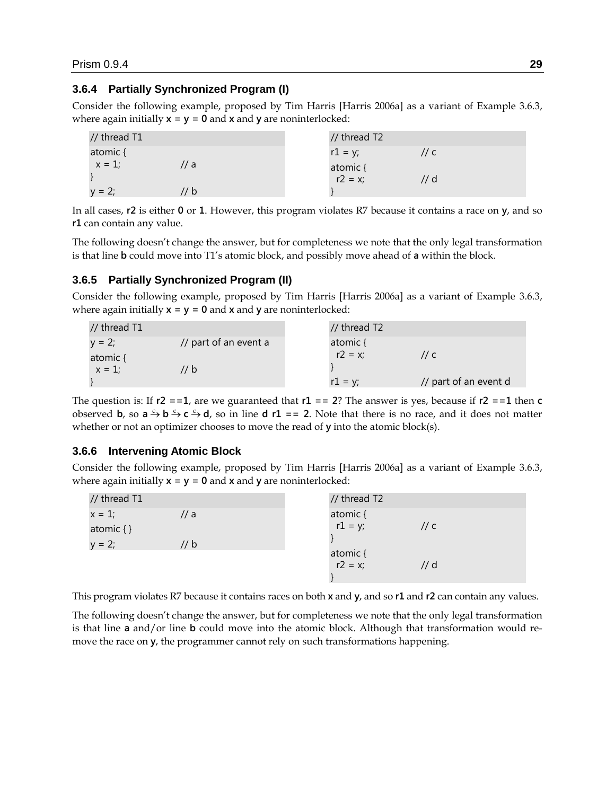## **3.6.4 Partially Synchronized Program (I)**

Consider the following example, proposed by Tim Harris [Harris 2006a] as a variant of Example [3.6.3,](#page-27-1) where again initially **x = y = 0** and **x** and **y** are noninterlocked:

| // thread T1      | // thread T2       |
|-------------------|--------------------|
| atomic {          | $r1 = y$ ;<br>// c |
| $x = 1$ ;<br>// a | atomic {           |
|                   | $r2 = x$ ;<br>// d |
| $y = 2;$<br>// b  |                    |

In all cases, **r2** is either **0** or **1**. However, this program violates R7 because it contains a race on **y**, and so **r1** can contain any value.

The following doesn't change the answer, but for completeness we note that the only legal transformation is that line **b** could move into T1's atomic block, and possibly move ahead of **a** within the block.

### **3.6.5 Partially Synchronized Program (II)**

Consider the following example, proposed by Tim Harris [Harris 2006a] as a variant of Example [3.6.3,](#page-27-1) where again initially  $x = y = 0$  and  $x$  and  $y$  are noninterlocked:

| // thread T1 |                       | // thread T2 |                       |
|--------------|-----------------------|--------------|-----------------------|
| $v = 2$ ;    | // part of an event a | atomic {     |                       |
| atomic {     |                       | $r2 = x$ ;   | $\frac{1}{c}$         |
| $x = 1$ ;    | 1/b                   |              |                       |
|              |                       | $r1 = v$ :   | // part of an event d |

The question is: If  $r2 = 1$ , are we guaranteed that  $r1 = 2$ ? The answer is yes, because if  $r2 = 1$  then  $c$ observed **b**, so  $a \xrightarrow{c} b \xrightarrow{c} c \xrightarrow{c} d$ , so in line **d**  $r1 == 2$ . Note that there is no race, and it does not matter whether or not an optimizer chooses to move the read of **y** into the atomic block(s).

#### **3.6.6 Intervening Atomic Block**

Consider the following example, proposed by Tim Harris [Harris 2006a] as a variant of Example [3.6.3,](#page-27-1) where again initially **x = y = 0** and **x** and **y** are noninterlocked:

| // thread T1  |                 | // thread T2          |                 |
|---------------|-----------------|-----------------------|-----------------|
| $x = 1$ ;     | // a            | atomic {              |                 |
| atomic $\{\}$ |                 | $r1 = y;$             | // $\mathsf{C}$ |
| $y = 2;$      | // $\mathsf{b}$ |                       |                 |
|               |                 | atomic {<br>$r2 = x;$ |                 |
|               |                 |                       | $//$ d          |
|               |                 |                       |                 |

This program violates R7 because it contains races on both **x** and **y**, and so **r1** and **r2** can contain any values.

The following doesn't change the answer, but for completeness we note that the only legal transformation is that line **a** and/or line **b** could move into the atomic block. Although that transformation would remove the race on **y**, the programmer cannot rely on such transformations happening.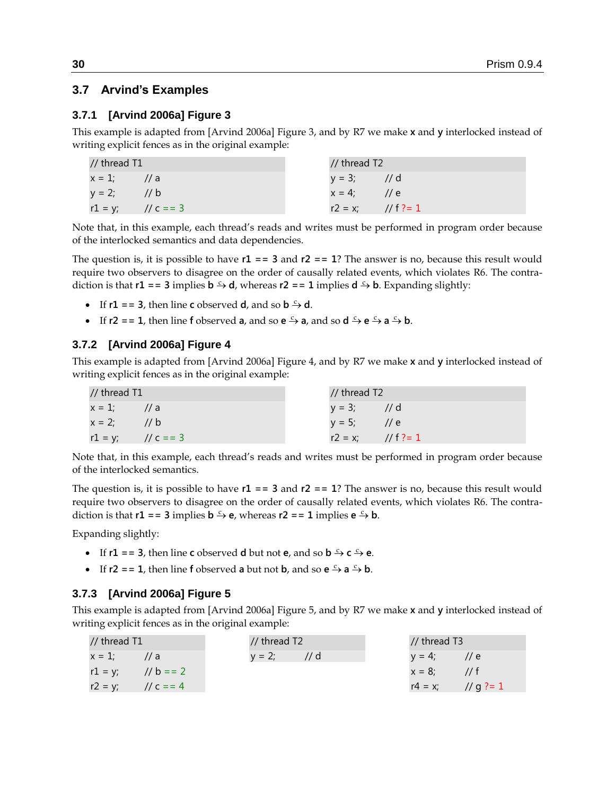# **3.7 Arvind's Examples**

### **3.7.1 [Arvind 2006a] Figure 3**

This example is adapted from [Arvind 2006a] Figure 3, and by R7 we make **x** and **y** interlocked instead of writing explicit fences as in the original example:

| // thread T1          |  | // thread T2         |  |
|-----------------------|--|----------------------|--|
| $x = 1$ ; // a        |  | $y = 3;$ // d        |  |
| $y = 2;$ // b         |  | $x = 4$ ; // e       |  |
| $r1 = y$ ; // c = = 3 |  | $r2 = x$ ; // f ?= 1 |  |

Note that, in this example, each thread's reads and writes must be performed in program order because of the interlocked semantics and data dependencies.

The question is, it is possible to have **r1 == 3** and **r2 == 1**? The answer is no, because this result would require two observers to disagree on the order of causally related events, which violates R6. The contradiction is that **r1** = = 3 implies **b**  $\div$  **d**, whereas **r2** = = 1 implies **d**  $\div$  **b**. Expanding slightly:

- If  $r1 = 3$ , then line **c** observed **d**, and so **b**  $\rightarrow$  **d**.
- If **r2** = = 1, then line **f** observed **a**, and so **e**  $\stackrel{c}{\rightarrow}$  **a**, and so **d**  $\stackrel{c}{\rightarrow}$  **e**  $\stackrel{c}{\rightarrow}$  **a**  $\stackrel{c}{\rightarrow}$  **b**.

### **3.7.2 [Arvind 2006a] Figure 4**

This example is adapted from [Arvind 2006a] Figure 4, and by R7 we make **x** and **y** interlocked instead of writing explicit fences as in the original example:

| // thread T1          |     | // thread T2         |  |
|-----------------------|-----|----------------------|--|
| $x = 1$ ; // a        |     | $y = 3;$ // d        |  |
| $x = 2;$              | 1/b | $y = 5$ ; // e       |  |
| $r1 = y$ ; // c = = 3 |     | $r2 = x$ ; // f ?= 1 |  |

Note that, in this example, each thread's reads and writes must be performed in program order because of the interlocked semantics.

The question is, it is possible to have **r1 == 3** and **r2 == 1**? The answer is no, because this result would require two observers to disagree on the order of causally related events, which violates R6. The contradiction is that **r1** = = 3 implies **b**  $\rightarrow$  **e**, whereas **r2** = = 1 implies **e**  $\rightarrow$  **b**.

Expanding slightly:

- If  $r1 = 3$ , then line **c** observed **d** but not **e**, and so **b**  $\frac{c}{r}$  **c**  $\frac{c}{r}$  **e**.
- If **r2** = **1**, then line **f** observed **a** but not **b**, and so **e**  $\frac{c}{2}$  **a**  $\frac{c}{2}$  **b**.

### **3.7.3 [Arvind 2006a] Figure 5**

This example is adapted from [Arvind 2006a] Figure 5, and by R7 we make **x** and **y** interlocked instead of writing explicit fences as in the original example:

| // thread T1          | // thread T2  | // thread T3         |
|-----------------------|---------------|----------------------|
| $x = 1$ ; // a        | $y = 2$ ; //d | $y = 4$ ; // e       |
| $r1 = y$ ; // b = = 2 |               | $x = 8$ ; // f       |
| $r2 = y$ ; // c = = 4 |               | $r4 = x$ ; // g ?= 1 |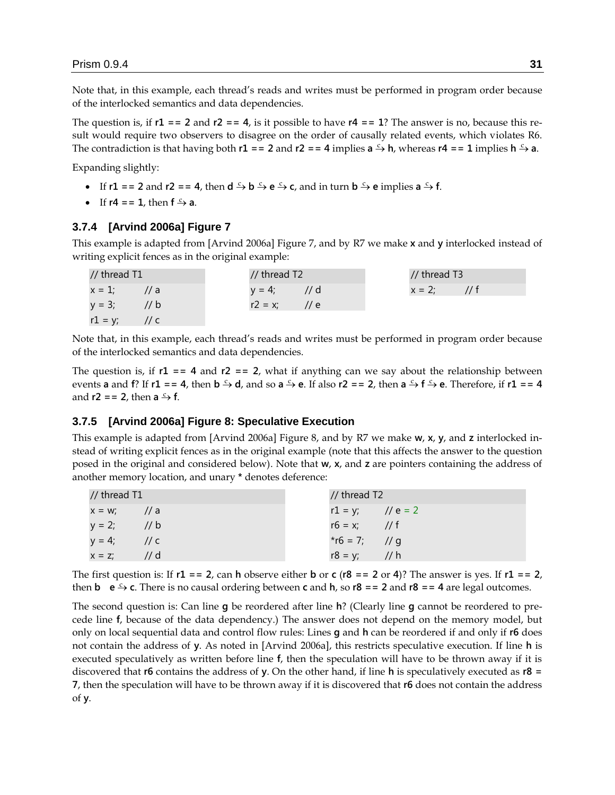Note that, in this example, each thread's reads and writes must be performed in program order because of the interlocked semantics and data dependencies.

The question is, if  $r1 = 2$  and  $r2 = 4$ , is it possible to have  $r4 = 1$ ? The answer is no, because this result would require two observers to disagree on the order of causally related events, which violates R6. The contradiction is that having both  $r1 = 2$  and  $r2 = 4$  implies  $a \rightarrow b$ , whereas  $r4 = 1$  implies  $h \rightarrow a$ .

Expanding slightly:

- If  $r1 = 2$  and  $r2 = 4$ , then  $d \xrightarrow{c} b \xrightarrow{c} e \xrightarrow{c} c$ , and in turn  $b \xrightarrow{c} e$  implies  $a \xrightarrow{c} f$ .
- If  $r4 = 1$ , then  $f \xrightarrow{c} a$ .

#### **3.7.4 [Arvind 2006a] Figure 7**

This example is adapted from [Arvind 2006a] Figure 7, and by R7 we make **x** and **y** interlocked instead of writing explicit fences as in the original example:

| // thread T1    |               | // thread T2 |               | // thread T3   |  |
|-----------------|---------------|--------------|---------------|----------------|--|
| $x = 1$ ;       | $\frac{1}{a}$ | $y = 4;$     | // d          | $x = 2$ ; // f |  |
| $y = 3;$ // b   |               | $r2 = x$ ;   | $\frac{1}{e}$ |                |  |
| $r1 = y$ ; // c |               |              |               |                |  |

Note that, in this example, each thread's reads and writes must be performed in program order because of the interlocked semantics and data dependencies.

The question is, if  $r1 = 4$  and  $r2 = 2$ , what if anything can we say about the relationship between events **a** and **f**? If  $r1 = 4$ , then  $b \stackrel{c}{\rightarrow} d$ , and so  $a \stackrel{c}{\rightarrow} e$ . If also  $r2 == 2$ , then  $a \stackrel{c}{\rightarrow} f \stackrel{c}{\rightarrow} e$ . Therefore, if  $r1 == 4$ and **r2** == **2**, then **a**  $\stackrel{c}{\rightarrow}$  **f**.

#### **3.7.5 [Arvind 2006a] Figure 8: Speculative Execution**

This example is adapted from [Arvind 2006a] Figure 8, and by R7 we make **w**, **x**, **y**, and **z** interlocked instead of writing explicit fences as in the original example (note that this affects the answer to the question posed in the original and considered below). Note that **w**, **x**, and **z** are pointers containing the address of another memory location, and unary **\*** denotes deference:

| // thread $T1$             | // thread T2        |
|----------------------------|---------------------|
| $x = w$ ; //a              | $r1 = y$ ; // e = 2 |
| $y = 2$ ; // b             | $r6 = x$ ; // f     |
| $y = 4;$<br>$\frac{1}{c}$  | *r6 = 7; // g       |
| $\frac{1}{d}$<br>$x = z$ ; | $r8 = y$ ; // h     |

The first question is: If  $r1 = 2$ , can **h** observe either **b** or **c** ( $r8 = 2$  or 4)? The answer is yes. If  $r1 = 2$ , then **b**  $e \rightarrow c$ . There is no causal ordering between **c** and **h**, so **r8 = = 2** and **r8 = = 4** are legal outcomes.

The second question is: Can line **g** be reordered after line **h**? (Clearly line **g** cannot be reordered to precede line **f**, because of the data dependency.) The answer does not depend on the memory model, but only on local sequential data and control flow rules: Lines **g** and **h** can be reordered if and only if **r6** does not contain the address of **y**. As noted in [Arvind 2006a], this restricts speculative execution. If line **h** is executed speculatively as written before line **f**, then the speculation will have to be thrown away if it is discovered that **r6** contains the address of **y**. On the other hand, if line **h** is speculatively executed as **r8 = 7**, then the speculation will have to be thrown away if it is discovered that **r6** does not contain the address of **y**.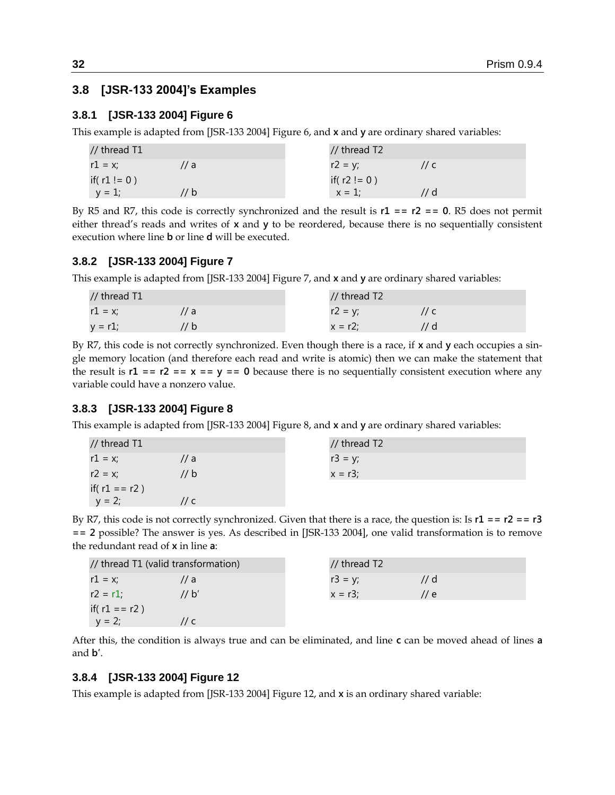# <span id="page-31-0"></span>**3.8 [JSR-133 2004]'s Examples**

### **3.8.1 [JSR-133 2004] Figure 6**

This example is adapted from [JSR-133 2004] Figure 6, and **x** and **y** are ordinary shared variables:

| // thread T1     |     | // thread T2     |        |  |
|------------------|-----|------------------|--------|--|
| $r1 = x$ ;       | 7 a | $r2 = v$ ;       | ′/ с   |  |
| if( $r1 != 0)$ ) |     | if( $r2 != 0)$ ) |        |  |
| $y = 1$ ;        | ′ b | $x = 1$ ;        | $''$ d |  |

By R5 and R7, this code is correctly synchronized and the result is **r1 == r2 == 0**. R5 does not permit either thread's reads and writes of **x** and **y** to be reordered, because there is no sequentially consistent execution where line **b** or line **d** will be executed.

### **3.8.2 [JSR-133 2004] Figure 7**

This example is adapted from [JSR-133 2004] Figure 7, and **x** and **y** are ordinary shared variables:

| // thread T1 |      | // thread T2 |  |
|--------------|------|--------------|--|
| $r1 = x$ ;   | a a  | $r2 = y;$    |  |
| $y = r1$ ;   | '/ b | $x = r2$     |  |

By R7, this code is not correctly synchronized. Even though there is a race, if **x** and **y** each occupies a single memory location (and therefore each read and write is atomic) then we can make the statement that the result is  $r1 = r2 = x == y == 0$  because there is no sequentially consistent execution where any variable could have a nonzero value.

#### **3.8.3 [JSR-133 2004] Figure 8**

This example is adapted from [JSR-133 2004] Figure 8, and **x** and **y** are ordinary shared variables:

| // thread T1     |      | // thread T2 |
|------------------|------|--------------|
| $r1 = x$ ;       | // a | $r3 = y;$    |
| $r2 = x$ ;       | // b | $x = r3$ ;   |
| if( $r1 == r2$ ) |      |              |
| $y = 2$ ;        | // c |              |

By R7, this code is not correctly synchronized. Given that there is a race, the question is: Is **r1 == r2 == r3 == 2** possible? The answer is yes. As described in [JSR-133 2004], one valid transformation is to remove the redundant read of **x** in line **a**:

| // thread T1 (valid transformation) |       | $\frac{1}{2}$ thread T2 |      |
|-------------------------------------|-------|-------------------------|------|
| $r1 = x$ ;                          | // a  | $r3 = y;$               | // d |
| $r2 = r1$ ;                         | 11 b' | $x = r3$ ;              | // e |
| if( $r1 == r2$ )                    |       |                         |      |
| $y = 2;$                            | // c  |                         |      |

After this, the condition is always true and can be eliminated, and line **c** can be moved ahead of lines **a** and **b'**.

#### **3.8.4 [JSR-133 2004] Figure 12**

This example is adapted from [JSR-133 2004] Figure 12, and **x** is an ordinary shared variable: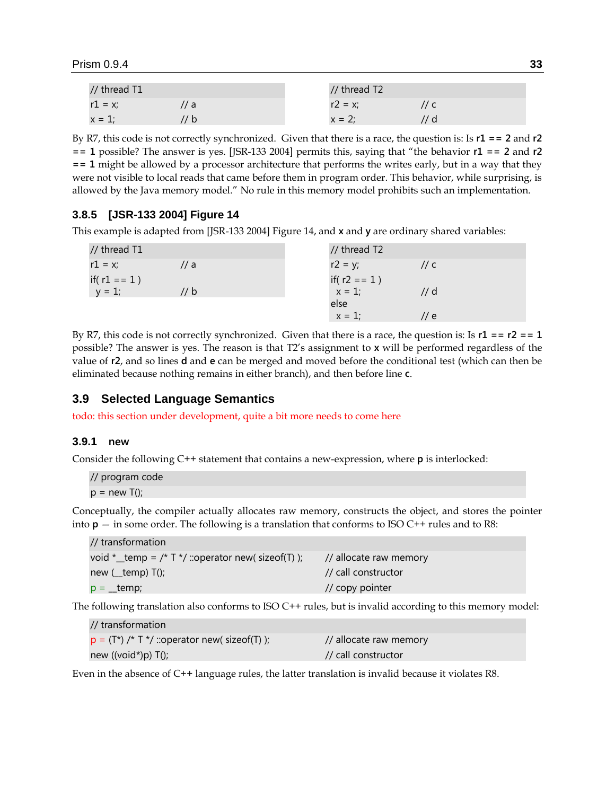| // thread T1 |     | // thread T2 |  |
|--------------|-----|--------------|--|
| $r1 = x$ ;   | a i | $r2 = x$ ;   |  |
| $x = 1$ :    |     | $x = 2$      |  |

By R7, this code is not correctly synchronized. Given that there is a race, the question is: Is **r1 == 2** and **r2**   $=$  **1** possible? The answer is yes. [JSR-133 2004] permits this, saying that "the behavior  $r1 =$  **2** and  $r2$ **== 1** might be allowed by a processor architecture that performs the writes early, but in a way that they were not visible to local reads that came before them in program order. This behavior, while surprising, is allowed by the Java memory model." No rule in this memory model prohibits such an implementation.

# **3.8.5 [JSR-133 2004] Figure 14**

This example is adapted from [JSR-133 2004] Figure 14, and **x** and **y** are ordinary shared variables:

| // thread T1    |      | // thread T2    |                  |
|-----------------|------|-----------------|------------------|
| $r1 = x;$       | // a | $r2 = y;$       | // $\epsilon$    |
| if( $r1 == 1$ ) |      | if( $r2 == 1$ ) |                  |
| $y = 1$ ;       | // b | $x = 1$ ;       | $//$ d           |
|                 |      | else            |                  |
|                 |      | $x = 1$ ;       | $\prime\prime$ e |
|                 |      |                 |                  |

By R7, this code is not correctly synchronized. Given that there is a race, the question is: Is **r1 == r2 == 1** possible? The answer is yes. The reason is that T2's assignment to **x** will be performed regardless of the value of **r2**, and so lines **d** and **e** can be merged and moved before the conditional test (which can then be eliminated because nothing remains in either branch), and then before line **c**.

# **3.9 Selected Language Semantics**

todo: this section under development, quite a bit more needs to come here

#### <span id="page-32-0"></span>**3.9.1 new**

Consider the following C++ statement that contains a new-expression, where **p** is interlocked:

// program code  $p = new T()$ ;

Conceptually, the compiler actually allocates raw memory, constructs the object, and stores the pointer into  $p - in$  some order. The following is a translation that conforms to ISO C++ rules and to R8:

| // transformation                                        |                            |
|----------------------------------------------------------|----------------------------|
| void $*$ _temp = /* T $*$ / ::operator new( sizeof(T) ); | // allocate raw memory     |
| new ( $_t$ temp) T();                                    | // call constructor        |
| $p = \pm emp$ ;                                          | $\frac{1}{2}$ copy pointer |

The following translation also conforms to ISO C++ rules, but is invalid according to this memory model:

| // transformation                                |                        |
|--------------------------------------------------|------------------------|
| $p = (T^*)$ /* T */ ::operator new( sizeof(T) ); | // allocate raw memory |
| new $((void*)p)$ T $()$ ;                        | // call constructor    |

Even in the absence of C++ language rules, the latter translation is invalid because it violates R8.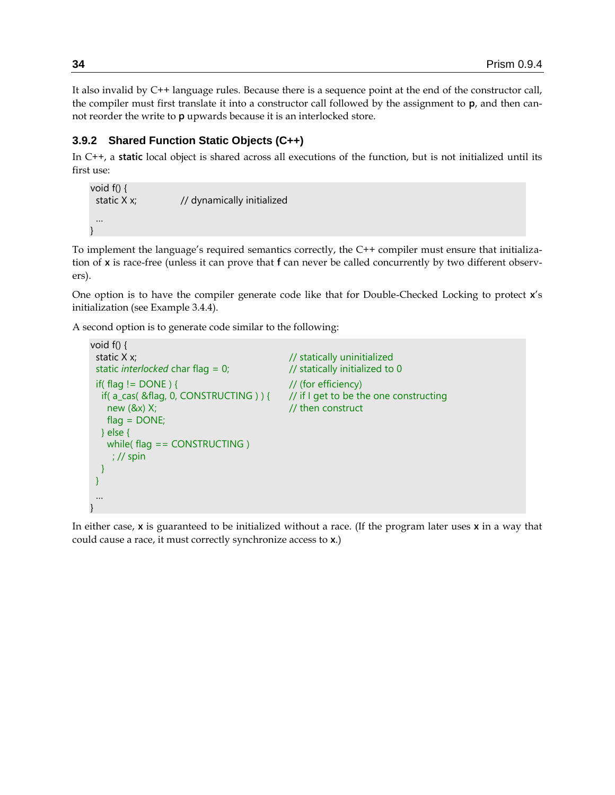It also invalid by C++ language rules. Because there is a sequence point at the end of the constructor call, the compiler must first translate it into a constructor call followed by the assignment to **p**, and then cannot reorder the write to **p** upwards because it is an interlocked store.

### <span id="page-33-0"></span>**3.9.2 Shared Function Static Objects (C++)**

In C++, a **static** local object is shared across all executions of the function, but is not initialized until its first use:

```
void f() {
 static X x; \frac{1}{2} // dynamically initialized
  …
}
```
To implement the language's required semantics correctly, the C++ compiler must ensure that initialization of **x** is race-free (unless it can prove that **f** can never be called concurrently by two different observers).

One option is to have the compiler generate code like that for Double-Checked Locking to protect **x**'s initialization (see Example [3.4.4\)](#page-24-0).

A second option is to generate code similar to the following:

```
void f() {
 static X x; \frac{1}{2} statically uninitialized
 static interlocked char flag = 0; // statically initialized to 0
 if(flag != DONE) { // (for efficiency)
  if( a_cas( &flag, 0, CONSTRUCTING ) ) { // if I get to be the one constructing
   new (8x) X; \frac{1}{2} // then construct
   flaq = DONE; } else {
   while( flag == CONSTRUCTING)
     ; // spin
  }
 }
 …
}
```
<span id="page-33-1"></span>In either case, **x** is guaranteed to be initialized without a race. (If the program later uses **x** in a way that could cause a race, it must correctly synchronize access to **x**.)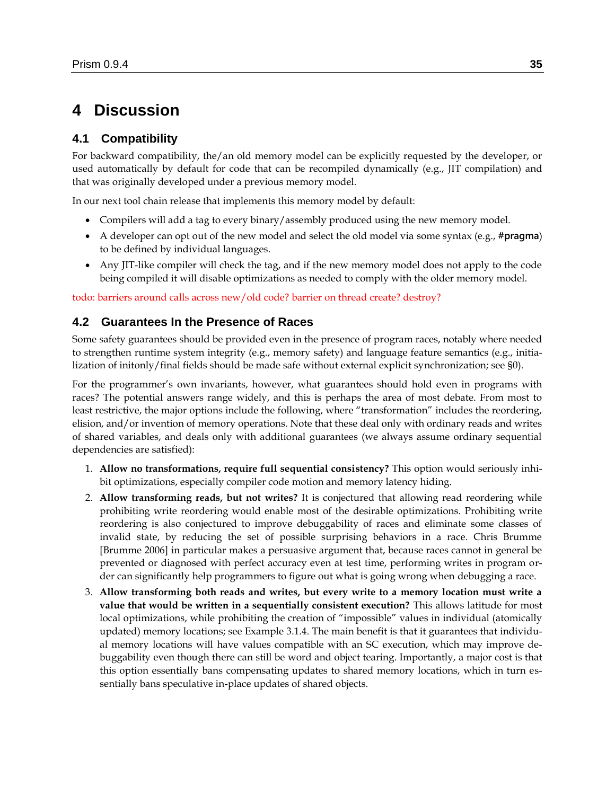# **4 Discussion**

# **4.1 Compatibility**

For backward compatibility, the/an old memory model can be explicitly requested by the developer, or used automatically by default for code that can be recompiled dynamically (e.g., JIT compilation) and that was originally developed under a previous memory model.

In our next tool chain release that implements this memory model by default:

- Compilers will add a tag to every binary/assembly produced using the new memory model.
- A developer can opt out of the new model and select the old model via some syntax (e.g., **#pragma**) to be defined by individual languages.
- Any JIT-like compiler will check the tag, and if the new memory model does not apply to the code being compiled it will disable optimizations as needed to comply with the older memory model.

todo: barriers around calls across new/old code? barrier on thread create? destroy?

### <span id="page-34-0"></span>**4.2 Guarantees In the Presence of Races**

Some safety guarantees should be provided even in the presence of program races, notably where needed to strengthen runtime system integrity (e.g., memory safety) and language feature semantics (e.g., initialization of initonly/final fields should be made safe without external explicit synchronization; see [§0\)](#page-33-1).

For the programmer's own invariants, however, what guarantees should hold even in programs with races? The potential answers range widely, and this is perhaps the area of most debate. From most to least restrictive, the major options include the following, where "transformation" includes the reordering, elision, and/or invention of memory operations. Note that these deal only with ordinary reads and writes of shared variables, and deals only with additional guarantees (we always assume ordinary sequential dependencies are satisfied):

- 1. **Allow no transformations, require full sequential consistency?** This option would seriously inhibit optimizations, especially compiler code motion and memory latency hiding.
- 2. **Allow transforming reads, but not writes?** It is conjectured that allowing read reordering while prohibiting write reordering would enable most of the desirable optimizations. Prohibiting write reordering is also conjectured to improve debuggability of races and eliminate some classes of invalid state, by reducing the set of possible surprising behaviors in a race. Chris Brumme [Brumme 2006] in particular makes a persuasive argument that, because races cannot in general be prevented or diagnosed with perfect accuracy even at test time, performing writes in program order can significantly help programmers to figure out what is going wrong when debugging a race.
- 3. **Allow transforming both reads and writes, but every write to a memory location must write a value that would be written in a sequentially consistent execution?** This allows latitude for most local optimizations, while prohibiting the creation of "impossible" values in individual (atomically updated) memory locations; see Example [3.1.4.](#page-13-0) The main benefit is that it guarantees that individual memory locations will have values compatible with an SC execution, which may improve debuggability even though there can still be word and object tearing. Importantly, a major cost is that this option essentially bans compensating updates to shared memory locations, which in turn essentially bans speculative in-place updates of shared objects.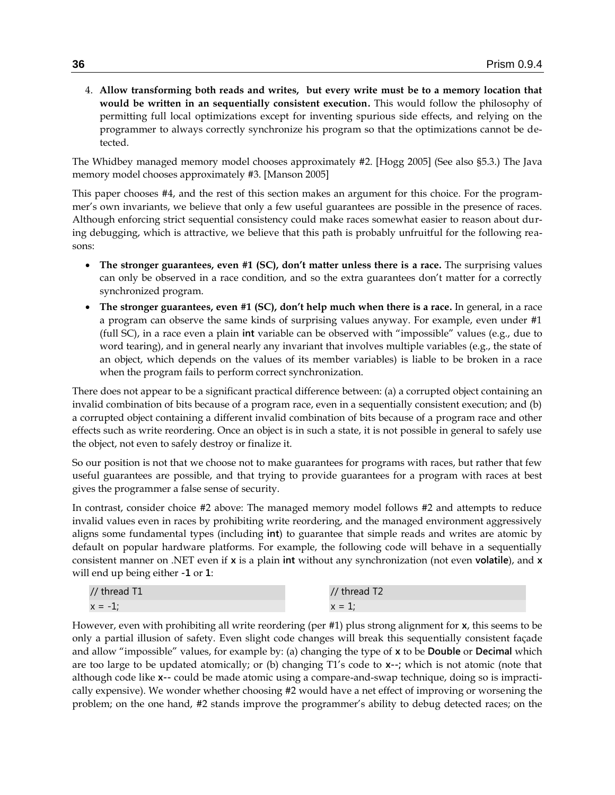4. **Allow transforming both reads and writes, but every write must be to a memory location that would be written in an sequentially consistent execution.** This would follow the philosophy of permitting full local optimizations except for inventing spurious side effects, and relying on the programmer to always correctly synchronize his program so that the optimizations cannot be detected.

The Whidbey managed memory model chooses approximately #2. [Hogg 2005] (See also [§5.3.](#page-39-0)) The Java memory model chooses approximately #3. [Manson 2005]

This paper chooses #4, and the rest of this section makes an argument for this choice. For the programmer's own invariants, we believe that only a few useful guarantees are possible in the presence of races. Although enforcing strict sequential consistency could make races somewhat easier to reason about during debugging, which is attractive, we believe that this path is probably unfruitful for the following reasons:

- **The stronger guarantees, even #1 (SC), don't matter unless there is a race.** The surprising values can only be observed in a race condition, and so the extra guarantees don't matter for a correctly synchronized program.
- **The stronger guarantees, even #1 (SC), don't help much when there is a race.** In general, in a race a program can observe the same kinds of surprising values anyway. For example, even under #1 (full SC), in a race even a plain int variable can be observed with "impossible" values (e.g., due to word tearing), and in general nearly any invariant that involves multiple variables (e.g., the state of an object, which depends on the values of its member variables) is liable to be broken in a race when the program fails to perform correct synchronization.

There does not appear to be a significant practical difference between: (a) a corrupted object containing an invalid combination of bits because of a program race, even in a sequentially consistent execution; and (b) a corrupted object containing a different invalid combination of bits because of a program race and other effects such as write reordering. Once an object is in such a state, it is not possible in general to safely use the object, not even to safely destroy or finalize it.

So our position is not that we choose not to make guarantees for programs with races, but rather that few useful guarantees are possible, and that trying to provide guarantees for a program with races at best gives the programmer a false sense of security.

In contrast, consider choice #2 above: The managed memory model follows #2 and attempts to reduce invalid values even in races by prohibiting write reordering, and the managed environment aggressively aligns some fundamental types (including **int**) to guarantee that simple reads and writes are atomic by default on popular hardware platforms. For example, the following code will behave in a sequentially consistent manner on .NET even if **x** is a plain **int** without any synchronization (not even **volatile**), and **x** will end up being either **-1** or **1**:

| // thread T1 | // thread T2 |
|--------------|--------------|
| $x = -$      | $x =$        |

However, even with prohibiting all write reordering (per #1) plus strong alignment for **x**, this seems to be only a partial illusion of safety. Even slight code changes will break this sequentially consistent façade and allow "impossible" values, for example by: (a) changing the type of **x** to be **Double** or **Decimal** which are too large to be updated atomically; or (b) changing T1's code to **x--;** which is not atomic (note that although code like **x--** could be made atomic using a compare-and-swap technique, doing so is impractically expensive). We wonder whether choosing #2 would have a net effect of improving or worsening the problem; on the one hand, #2 stands improve the programmer's ability to debug detected races; on the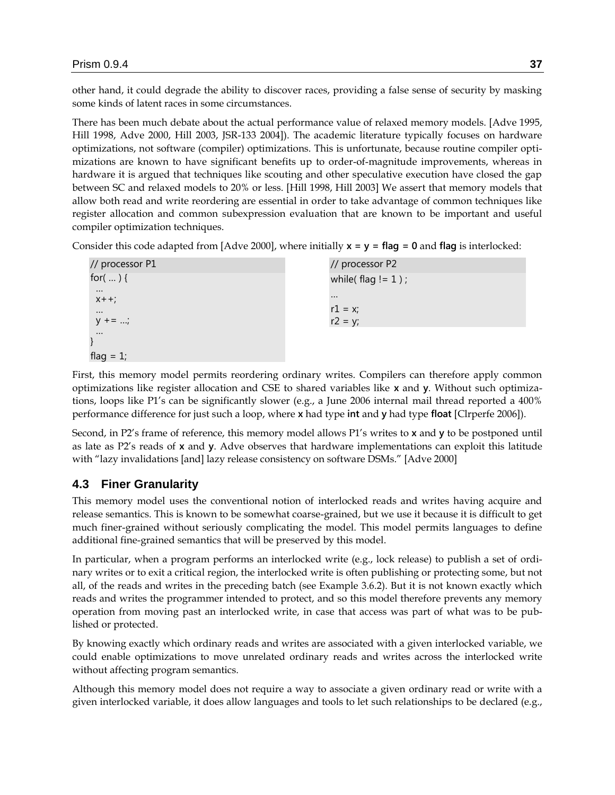other hand, it could degrade the ability to discover races, providing a false sense of security by masking some kinds of latent races in some circumstances.

There has been much debate about the actual performance value of relaxed memory models. [Adve 1995, Hill 1998, Adve 2000, Hill 2003, JSR-133 2004]). The academic literature typically focuses on hardware optimizations, not software (compiler) optimizations. This is unfortunate, because routine compiler optimizations are known to have significant benefits up to order-of-magnitude improvements, whereas in hardware it is argued that techniques like scouting and other speculative execution have closed the gap between SC and relaxed models to 20% or less. [Hill 1998, Hill 2003] We assert that memory models that allow both read and write reordering are essential in order to take advantage of common techniques like register allocation and common subexpression evaluation that are known to be important and useful compiler optimization techniques.

Consider this code adapted from [Adve 2000], where initially **x = y = flag = 0** and **flag** is interlocked:

| // processor P1       | // processor P2        |
|-----------------------|------------------------|
| for( $\ldots$ ) {     | while( $flag != 1$ );  |
| $\cdots$              | $\cdots$               |
| $X + +;$              |                        |
| $\cdots$<br>$y + = ;$ | $r1 = x;$<br>$r2 = y;$ |
| $\cdots$              |                        |
|                       |                        |
| flag = $1$ ;          |                        |

First, this memory model permits reordering ordinary writes. Compilers can therefore apply common optimizations like register allocation and CSE to shared variables like **x** and **y**. Without such optimizations, loops like P1's can be significantly slower (e.g., a June 2006 internal mail thread reported a 400% performance difference for just such a loop, where **x** had type **int** and **y** had type **float** [Clrperfe 2006]).

Second, in P2's frame of reference, this memory model allows P1's writes to **x** and **y** to be postponed until as late as P2's reads of **x** and **y**. Adve observes that hardware implementations can exploit this latitude with "lazy invalidations [and] lazy release consistency on software DSMs." [Adve 2000]

# <span id="page-36-0"></span>**4.3 Finer Granularity**

This memory model uses the conventional notion of interlocked reads and writes having acquire and release semantics. This is known to be somewhat coarse-grained, but we use it because it is difficult to get much finer-grained without seriously complicating the model. This model permits languages to define additional fine-grained semantics that will be preserved by this model.

In particular, when a program performs an interlocked write (e.g., lock release) to publish a set of ordinary writes or to exit a critical region, the interlocked write is often publishing or protecting some, but not all, of the reads and writes in the preceding batch (see Example [3.6.2\)](#page-27-0). But it is not known exactly which reads and writes the programmer intended to protect, and so this model therefore prevents any memory operation from moving past an interlocked write, in case that access was part of what was to be published or protected.

By knowing exactly which ordinary reads and writes are associated with a given interlocked variable, we could enable optimizations to move unrelated ordinary reads and writes across the interlocked write without affecting program semantics.

Although this memory model does not require a way to associate a given ordinary read or write with a given interlocked variable, it does allow languages and tools to let such relationships to be declared (e.g.,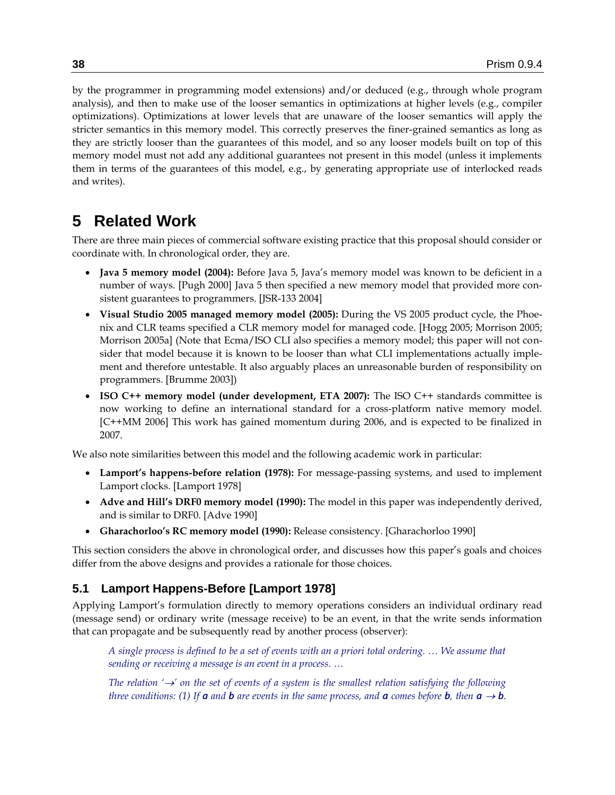by the programmer in programming model extensions) and/or deduced (e.g., through whole program analysis), and then to make use of the looser semantics in optimizations at higher levels (e.g., compiler optimizations). Optimizations at lower levels that are unaware of the looser semantics will apply the stricter semantics in this memory model. This correctly preserves the finer-grained semantics as long as they are strictly looser than the guarantees of this model, and so any looser models built on top of this memory model must not add any additional guarantees not present in this model (unless it implements them in terms of the guarantees of this model, e.g., by generating appropriate use of interlocked reads and writes).

# <span id="page-37-0"></span>**5 Related Work**

There are three main pieces of commercial software existing practice that this proposal should consider or coordinate with. In chronological order, they are.

- **Java 5 memory model (2004):** Before Java 5, Java's memory model was known to be deficient in a number of ways. [Pugh 2000] Java 5 then specified a new memory model that provided more consistent guarantees to programmers. [JSR-133 2004]
- **Visual Studio 2005 managed memory model (2005):** During the VS 2005 product cycle, the Phoenix and CLR teams specified a CLR memory model for managed code. [Hogg 2005; Morrison 2005; Morrison 2005a] (Note that Ecma/ISO CLI also specifies a memory model; this paper will not consider that model because it is known to be looser than what CLI implementations actually implement and therefore untestable. It also arguably places an unreasonable burden of responsibility on programmers. [Brumme 2003])
- **ISO C++ memory model (under development, ETA 2007):** The ISO C++ standards committee is now working to define an international standard for a cross-platform native memory model. [C++MM 2006] This work has gained momentum during 2006, and is expected to be finalized in 2007.

We also note similarities between this model and the following academic work in particular:

- **Lamport's happens-before relation (1978):** For message-passing systems, and used to implement Lamport clocks. [Lamport 1978]
- **Adve and Hill's DRF0 memory model (1990):** The model in this paper was independently derived, and is similar to DRF0. [Adve 1990]
- **Gharachorloo's RC memory model (1990):** Release consistency. [Gharachorloo 1990]

This section considers the above in chronological order, and discusses how this paper's goals and choices differ from the above designs and provides a rationale for those choices.

# **5.1 Lamport Happens-Before [Lamport 1978]**

Applying Lamport's formulation directly to memory operations considers an individual ordinary read (message send) or ordinary write (message receive) to be an event, in that the write sends information that can propagate and be subsequently read by another process (observer):

*A single process is defined to be a set of events with an a priori total ordering. … We assume that sending or receiving a message is an event in a process. …*

*The relation*  $\rightarrow$  *' on the set of events of a system is the smallest relation satisfying the following three conditions:* (1) If *a and b are events in the same process, and a comes before b, then*  $a \rightarrow b$ *.*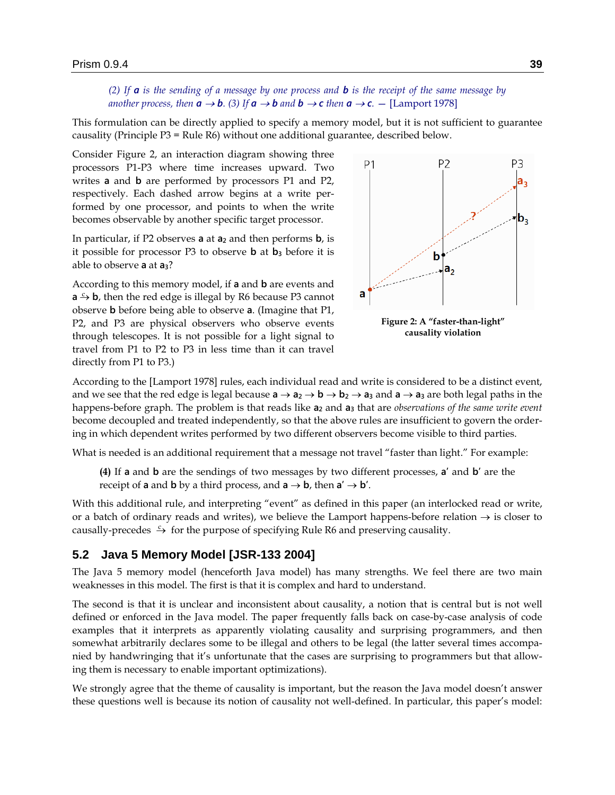*(2) If a is the sending of a message by one process and b is the receipt of the same message by another process, then*  $a \rightarrow b$ *.* (3) If  $a \rightarrow b$  *and*  $b \rightarrow c$  *then*  $a \rightarrow c$ *.* – [Lamport 1978]

This formulation can be directly applied to specify a memory model, but it is not sufficient to guarantee causality (Principle P3 = Rule R6) without one additional guarantee, described below.

Consider [Figure 2,](#page-38-0) an interaction diagram showing three processors P1-P3 where time increases upward. Two writes **a** and **b** are performed by processors P1 and P2, respectively. Each dashed arrow begins at a write performed by one processor, and points to when the write becomes observable by another specific target processor.

In particular, if P2 observes **a** at **a<sup>2</sup>** and then performs **b**, is it possible for processor P3 to observe **b** at **b<sup>3</sup>** before it is able to observe **a** at **a3**?

According to this memory model, if **a** and **b** are events and  $a \rightarrow b$ , then the red edge is illegal by R6 because P3 cannot observe **b** before being able to observe **a**. (Imagine that P1, P2, and P3 are physical observers who observe events through telescopes. It is not possible for a light signal to travel from P1 to P2 to P3 in less time than it can travel directly from P1 to P3.)



<span id="page-38-0"></span>**Figure 2: A "faster-than-light" causality violation**

According to the [Lamport 1978] rules, each individual read and write is considered to be a distinct event, and we see that the red edge is legal because  $a \rightarrow a_2 \rightarrow b \rightarrow b_2 \rightarrow a_3$  and  $a \rightarrow a_3$  are both legal paths in the happens-before graph. The problem is that reads like **a<sup>2</sup>** and **a<sup>3</sup>** that are *observations of the same write event* become decoupled and treated independently, so that the above rules are insufficient to govern the ordering in which dependent writes performed by two different observers become visible to third parties.

What is needed is an additional requirement that a message not travel "faster than light." For example:

**(4)** If **a** and **b** are the sendings of two messages by two different processes, **a'** and **b'** are the receipt of **a** and **b** by a third process, and  $\mathbf{a} \rightarrow \mathbf{b}$ , then  $\mathbf{a}' \rightarrow \mathbf{b}'$ .

With this additional rule, and interpreting "event" as defined in this paper (an interlocked read or write, or a batch of ordinary reads and writes), we believe the Lamport happens-before relation  $\rightarrow$  is closer to causally-precedes  $\stackrel{c}{\rightarrow}$  for the purpose of specifying Rule R6 and preserving causality.

#### **5.2 Java 5 Memory Model [JSR-133 2004]**

The Java 5 memory model (henceforth Java model) has many strengths. We feel there are two main weaknesses in this model. The first is that it is complex and hard to understand.

The second is that it is unclear and inconsistent about causality, a notion that is central but is not well defined or enforced in the Java model. The paper frequently falls back on case-by-case analysis of code examples that it interprets as apparently violating causality and surprising programmers, and then somewhat arbitrarily declares some to be illegal and others to be legal (the latter several times accompanied by handwringing that it's unfortunate that the cases are surprising to programmers but that allowing them is necessary to enable important optimizations).

We strongly agree that the theme of causality is important, but the reason the Java model doesn't answer these questions well is because its notion of causality not well-defined. In particular, this paper's model: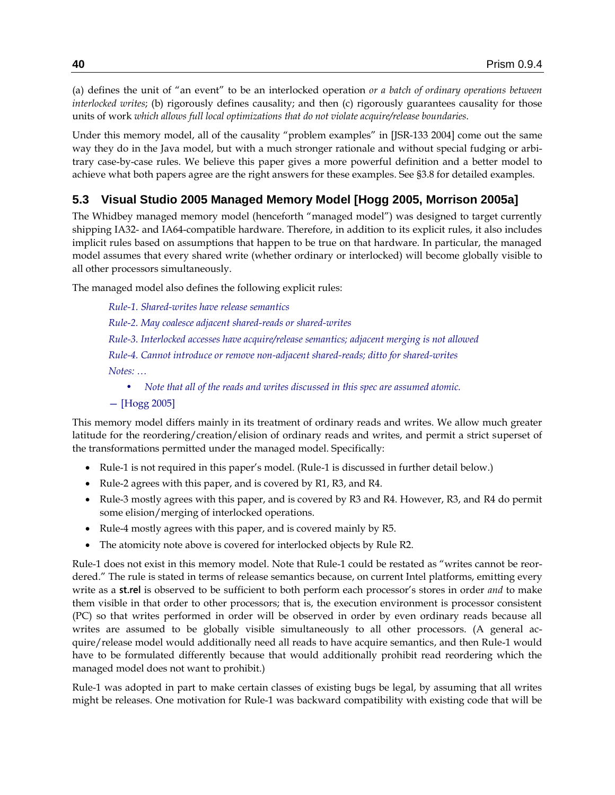(a) defines the unit of "an event" to be an interlocked operation *or a batch of ordinary operations between interlocked writes*; (b) rigorously defines causality; and then (c) rigorously guarantees causality for those units of work *which allows full local optimizations that do not violate acquire/release boundaries*.

Under this memory model, all of the causality "problem examples" in [JSR-133 2004] come out the same way they do in the Java model, but with a much stronger rationale and without special fudging or arbitrary case-by-case rules. We believe this paper gives a more powerful definition and a better model to achieve what both papers agree are the right answers for these examples. See [§3.8](#page-31-0) for detailed examples.

# <span id="page-39-0"></span>**5.3 Visual Studio 2005 Managed Memory Model [Hogg 2005, Morrison 2005a]**

The Whidbey managed memory model (henceforth "managed model") was designed to target currently shipping IA32- and IA64-compatible hardware. Therefore, in addition to its explicit rules, it also includes implicit rules based on assumptions that happen to be true on that hardware. In particular, the managed model assumes that every shared write (whether ordinary or interlocked) will become globally visible to all other processors simultaneously.

The managed model also defines the following explicit rules:

*Rule-1. Shared-writes have release semantics Rule-2. May coalesce adjacent shared-reads or shared-writes Rule-3. Interlocked accesses have acquire/release semantics; adjacent merging is not allowed Rule-4. Cannot introduce or remove non-adjacent shared-reads; ditto for shared-writes Notes: … • Note that all of the reads and writes discussed in this spec are assumed atomic.*

— [Hogg 2005]

This memory model differs mainly in its treatment of ordinary reads and writes. We allow much greater latitude for the reordering/creation/elision of ordinary reads and writes, and permit a strict superset of the transformations permitted under the managed model. Specifically:

- Rule-1 is not required in this paper's model. (Rule-1 is discussed in further detail below.)
- Rule-2 agrees with this paper, and is covered by R1, R3, and R4.
- Rule-3 mostly agrees with this paper, and is covered by R3 and R4. However, R3, and R4 do permit some elision/merging of interlocked operations.
- Rule-4 mostly agrees with this paper, and is covered mainly by R5.
- The atomicity note above is covered for interlocked objects by Rule R2.

Rule-1 does not exist in this memory model. Note that Rule-1 could be restated as "writes cannot be reordered." The rule is stated in terms of release semantics because, on current Intel platforms, emitting every write as a **st.rel** is observed to be sufficient to both perform each processor's stores in order *and* to make them visible in that order to other processors; that is, the execution environment is processor consistent (PC) so that writes performed in order will be observed in order by even ordinary reads because all writes are assumed to be globally visible simultaneously to all other processors. (A general acquire/release model would additionally need all reads to have acquire semantics, and then Rule-1 would have to be formulated differently because that would additionally prohibit read reordering which the managed model does not want to prohibit.)

Rule-1 was adopted in part to make certain classes of existing bugs be legal, by assuming that all writes might be releases. One motivation for Rule-1 was backward compatibility with existing code that will be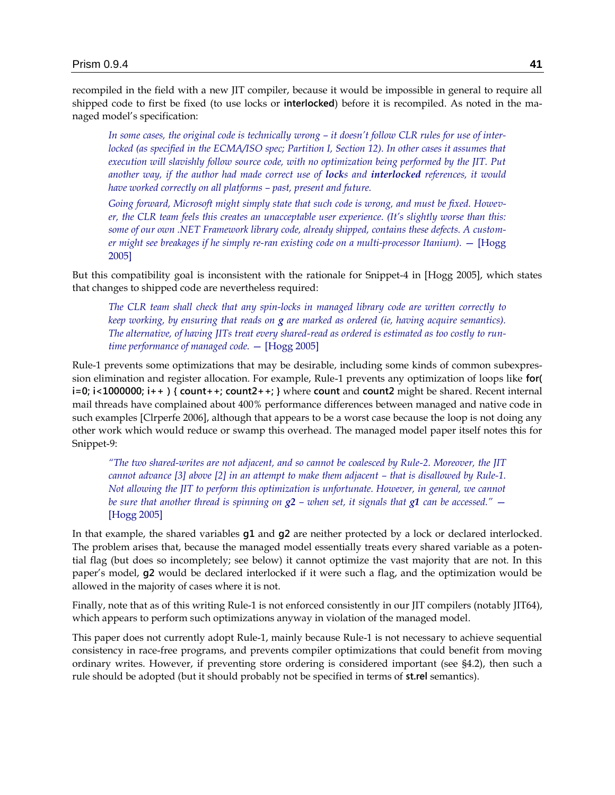recompiled in the field with a new JIT compiler, because it would be impossible in general to require all shipped code to first be fixed (to use locks or **interlocked**) before it is recompiled. As noted in the managed model's specification:

In some cases, the original code is technically wrong – it doesn't follow CLR rules for use of inter*locked (as specified in the ECMA/ISO spec; Partition I, Section 12). In other cases it assumes that execution will slavishly follow source code, with no optimization being performed by the JIT. Put another way, if the author had made correct use of locks and interlocked references, it would have worked correctly on all platforms – past, present and future.*

*Going forward, Microsoft might simply state that such code is wrong, and must be fixed. However, the CLR team feels this creates an unacceptable user experience. (It's slightly worse than this: some of our own .NET Framework library code, already shipped, contains these defects. A customer might see breakages if he simply re-ran existing code on a multi-processor Itanium).* — [Hogg 2005]

But this compatibility goal is inconsistent with the rationale for Snippet-4 in [Hogg 2005], which states that changes to shipped code are nevertheless required:

*The CLR team shall check that any spin-locks in managed library code are written correctly to keep working, by ensuring that reads on g are marked as ordered (ie, having acquire semantics). The alternative, of having JITs treat every shared-read as ordered is estimated as too costly to runtime performance of managed code.* — [Hogg 2005]

Rule-1 prevents some optimizations that may be desirable, including some kinds of common subexpression elimination and register allocation. For example, Rule-1 prevents any optimization of loops like **for( i=0; i<1000000; i++ ) { count++; count2++; }** where **count** and **count2** might be shared. Recent internal mail threads have complained about 400% performance differences between managed and native code in such examples [Clrperfe 2006], although that appears to be a worst case because the loop is not doing any other work which would reduce or swamp this overhead. The managed model paper itself notes this for Snippet-9:

*―The two shared-writes are not adjacent, and so cannot be coalesced by Rule-2. Moreover, the JIT cannot advance* [3] above [2] in an attempt to make them adjacent – that is disallowed by Rule-1. *Not allowing the JIT to perform this optimization is unfortunate. However, in general, we cannot be sure that another thread is spinning on*  $g^2$  *– when set, it signals that*  $g^1$  *can be accessed.<sup><i>''*</sup> – [Hogg 2005]

In that example, the shared variables **g1** and **g2** are neither protected by a lock or declared interlocked. The problem arises that, because the managed model essentially treats every shared variable as a potential flag (but does so incompletely; see below) it cannot optimize the vast majority that are not. In this paper's model, **g2** would be declared interlocked if it were such a flag, and the optimization would be allowed in the majority of cases where it is not.

Finally, note that as of this writing Rule-1 is not enforced consistently in our JIT compilers (notably JIT64), which appears to perform such optimizations anyway in violation of the managed model.

This paper does not currently adopt Rule-1, mainly because Rule-1 is not necessary to achieve sequential consistency in race-free programs, and prevents compiler optimizations that could benefit from moving ordinary writes. However, if preventing store ordering is considered important (see [§4.2\)](#page-34-0), then such a rule should be adopted (but it should probably not be specified in terms of **st.rel** semantics).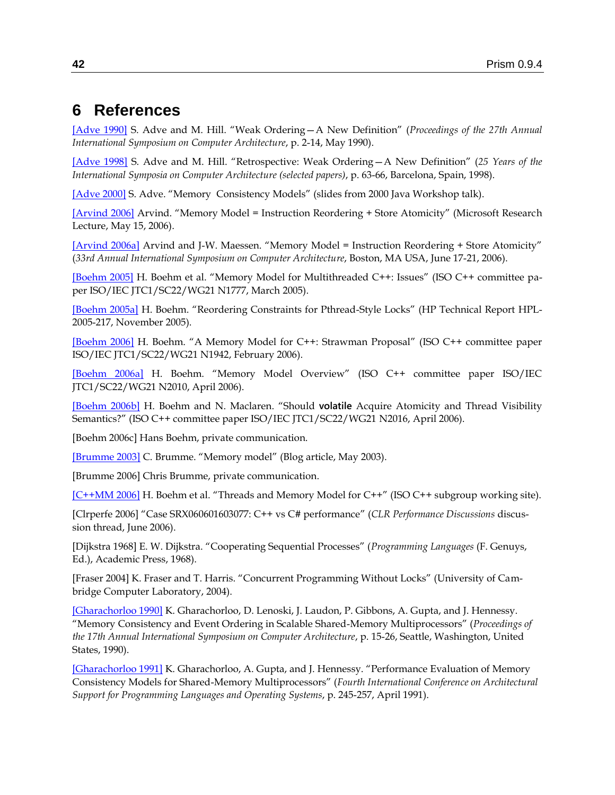# **6 References**

[\[Adve 1990\]](http://ftp.cs.wisc.edu/pub/markhill/Papers/isca90_drf0.pdf) S. Adve and M. Hill. "Weak Ordering - A New Definition" (*Proceedings of the 27th Annual International Symposium on Computer Architecture*, p. 2-14, May 1990).

[\[Adve 1998\]](http://delivery.acm.org/10.1145/290000/285956/p63-adve.pdf?key1=285956&key2=4748259411&coll=Portal&dl=ACM&CFID=77620014&CFTOKEN=83331623) S. Adve and M. Hill. "Retrospective: Weak Ordering - A New Definition" (25 Years of the *International Symposia on Computer Architecture (selected papers)*, p. 63-66, Barcelona, Spain, 1998).

[\[Adve 2000\]](http://rsim.cs.uiuc.edu/~sadve/JavaWorkshop00/talk.pdf) S. Adve. "Memory Consistency Models" (slides from 2000 Java Workshop talk).

[\[Arvind 2006\]](http://resnet/msrn/client/eview.asp?id=13427) Arvind. "Memory Model = Instruction Reordering + Store Atomicity" (Microsoft Research Lecture, May 15, 2006).

[\[Arvind 2006a\]](http://csg.lcs.mit.edu/pubs/memos/Memo-493/memo-493.pdf) Arvind and J-W. Maessen. "Memory Model = Instruction Reordering + Store Atomicity" (*33rd Annual International Symposium on Computer Architecture*, Boston, MA USA, June 17-21, 2006).

[\[Boehm 2005\]](http://www.open-std.org/jtc1/sc22/wg21/docs/papers/2005/n1777.pdf) H. Boehm et al. "Memory Model for Multithreaded C++: Issues" (ISO C++ committee paper ISO/IEC JTC1/SC22/WG21 N1777, March 2005).

[\[Boehm 2005a\]](http://www.hpl.hp.com/techreports/2005/HPL-2005-217.html) H. Boehm. "Reordering Constraints for Pthread-Style Locks" (HP Technical Report HPL-2005-217, November 2005).

[\[Boehm 2006\]](http://www.open-std.org/jtc1/sc22/wg21/docs/papers/2006/n1942.html) H. Boehm. "A Memory Model for C++: Strawman Proposal" (ISO C++ committee paper ISO/IEC JTC1/SC22/WG21 N1942, February 2006).

[\[Boehm 2006a\]](http://www.open-std.org/jtc1/sc22/wg21/docs/papers/2006/n2010.pdf) H. Boehm. "Memory Model Overview" (ISO C++ committee paper ISO/IEC JTC1/SC22/WG21 N2010, April 2006).

[\[Boehm 2006b\]](http://www.open-std.org/jtc1/sc22/wg21/docs/papers/2006/n2016.html) H. Boehm and N. Maclaren. "Should **volatile** Acquire Atomicity and Thread Visibility Semantics?" (ISO C++ committee paper ISO/IEC JTC1/SC22/WG21 N2016, April 2006).

[Boehm 2006c] Hans Boehm, private communication.

[\[Brumme 2003\]](http://blogs.msdn.com/cbrumme/archive/2003/05/17/51445.aspx) C. Brumme. "Memory model" (Blog article, May 2003).

[Brumme 2006] Chris Brumme, private communication.

[\[C++MM](http://www.hpl.hp.com/personal/Hans_Boehm/c++mm/) 2006] H. Boehm et al. "Threads and Memory Model for C++" (ISO C++ subgroup working site).

[Clrperfe 2006] "Case SRX060601603077: C++ vs C# performance" (CLR Performance Discussions discussion thread, June 2006).

[Dijkstra 1968] E. W. Dijkstra. ―Cooperating Sequential Processes‖ (*Programming Languages* (F. Genuys, Ed.), Academic Press, 1968).

[Fraser 2004] K. Fraser and T. Harris. "Concurrent Programming Without Locks" (University of Cambridge Computer Laboratory, 2004).

[\[Gharachorloo 1990\]](http://delivery.acm.org/10.1145/330000/325102/p15-gharachorloo.pdf?key1=325102&key2=5982459411&coll=Portal&dl=ACM&CFID=77637719&CFTOKEN=12736123) K. Gharachorloo, D. Lenoski, J. Laudon, P. Gibbons, A. Gupta, and J. Hennessy. ―Memory Consistency and Event Ordering in Scalable Shared-Memory Multiprocessors‖ (*Proceedings of the 17th Annual International Symposium on Computer Architecture*, p. 15-26, Seattle, Washington, United States, 1990).

[\[Gharachorloo 1991\]](http://citeseer.ist.psu.edu/cache/papers/cs/2379/ftp:zSzzSzwww-flash.stanford.eduzSzpubzSzflashzSzasplos4.pdf/gharachorloo91performance.pdf) K. Gharachorloo, A. Gupta, and J. Hennessy. "Performance Evaluation of Memory Consistency Models for Shared-Memory Multiprocessors‖ (*Fourth International Conference on Architectural Support for Programming Languages and Operating Systems*, p. 245-257, April 1991).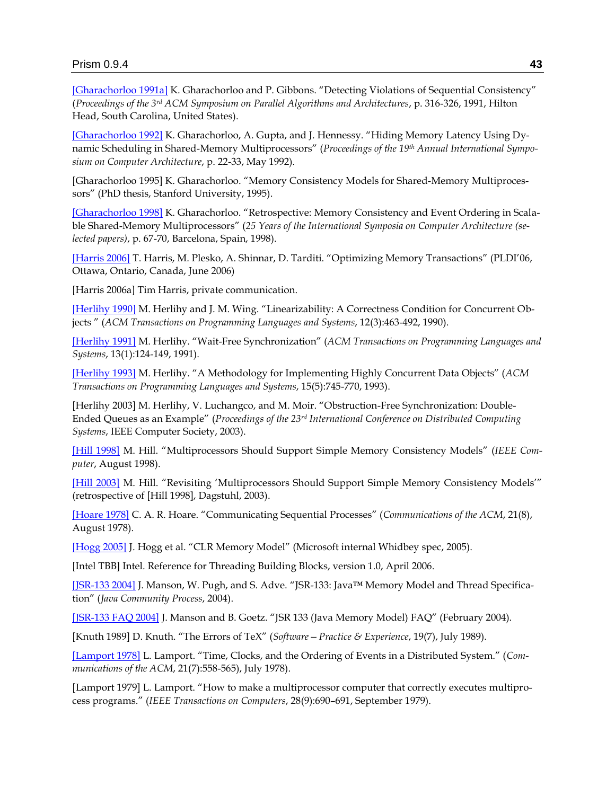[\[Gharachorloo 1991a\]](http://delivery.acm.org/10.1145/120000/113408/p316-gharachorloo.pdf?key1=113408&key2=1646298411&coll=GUIDE&dl=GUIDE&CFID=77045850&CFTOKEN=78529651) K. Gharachorloo and P. Gibbons. "Detecting Violations of Sequential Consistency" (*Proceedings of the 3rd ACM Symposium on Parallel Algorithms and Architectures*, p. 316-326, 1991, Hilton Head, South Carolina, United States).

[\[Gharachorloo 1992\]](http://delivery.acm.org/10.1145/140000/139678/p22-gharachorloo.pdf?key1=139678&key2=1748269411&coll=GUIDE&dl=GUIDE&CFID=77707820&CFTOKEN=6023377) K. Gharachorloo, A. Gupta, and J. Hennessy. "Hiding Memory Latency Using Dynamic Scheduling in Shared-Memory Multiprocessors‖ (*Proceedings of the 19th Annual International Symposium on Computer Architecture*, p. 22-33, May 1992).

[Gharachorloo 1995] K. Gharachorloo. "Memory Consistency Models for Shared-Memory Multiprocessors" (PhD thesis, Stanford University, 1995).

[\[Gharachorloo 1998\]](http://delivery.acm.org/10.1145/290000/285957/p67-gharachorloo.pdf?key1=285957&key2=9588269411&coll=GUIDE&dl=ACM&CFID=77707820&CFTOKEN=6023377) K. Gharachorloo. "Retrospective: Memory Consistency and Event Ordering in Scalable Shared-Memory Multiprocessors" (25 Years of the International Symposia on Computer Architecture (se*lected papers)*, p. 67-70, Barcelona, Spain, 1998).

[\[Harris 2006\]](http://research.microsoft.com/~tharris/papers/2006-pldi.pdf) T. Harris, M. Plesko, A. Shinnar, D. Tarditi. "Optimizing Memory Transactions" (PLDI'06, Ottawa, Ontario, Canada, June 2006)

[Harris 2006a] Tim Harris, private communication.

[\[Herlihy 1990\]](http://delivery.acm.org/10.1145/80000/78972/p463-herlihy.pdf?key1=78972&key2=8903938411&coll=Portal&dl=ACM&CFID=71937606&CFTOKEN=12809132) M. Herlihy and J. M. Wing. "Linearizability: A Correctness Condition for Concurrent Objects ‖ (*ACM Transactions on Programming Languages and Systems*, 12(3):463-492, 1990).

[\[Herlihy 1991\]](http://delivery.acm.org/10.1145/110000/102808/p124-herlihy.pdf?key1=102808&key2=7262938411&coll=GUIDE&dl=GUIDE&CFID=71937606&CFTOKEN=12809132) M. Herlihy. "Wait-Free Synchronization" (ACM Transactions on Programming Languages and *Systems*, 13(1):124-149, 1991).

[\[Herlihy 1993\]](http://delivery.acm.org/10.1145/170000/161469/p745-herlihy.pdf?key1=161469&key2=7862938411&coll=Portal&dl=ACM&CFID=71937606&CFTOKEN=12809132) M. Herlihy. "A Methodology for Implementing Highly Concurrent Data Objects" (ACM *Transactions on Programming Languages and Systems*, 15(5):745-770, 1993).

[Herlihy 2003] M. Herlihy, V. Luchangco, and M. Moir. "Obstruction-Free Synchronization: Double-Ended Queues as an Example‖ (*Proceedings of the 23rd International Conference on Distributed Computing Systems*, IEEE Computer Society, 2003).

[\[Hill 1998\]](http://www.cs.wisc.edu/multifacet/papers/computer98_sccase.pdf) M. Hill. "Multiprocessors Should Support Simple Memory Consistency Models" (*IEEE Computer*, August 1998).

[\[Hill 2003\]](http://www.cs.wisc.edu/multifacet/papers/dagstuhl03_memory_consistency.ppt) M. Hill. "Revisiting 'Multiprocessors Should Support Simple Memory Consistency Models'" (retrospective of [Hill 1998], Dagstuhl, 2003).

[\[Hoare 1978\]](http://delivery.acm.org/10.1145/360000/359585/p666-hoare.pdf?key1=359585&key2=9382938411&coll=Portal&dl=ACM&CFID=71937606&CFTOKEN=12809132) C. A. R. Hoare. "Communicating Sequential Processes" (*Communications of the ACM*, 21(8), August 1978).

[\[Hogg 2005\]](http://devdiv/Documents/Orcas/CLR/Specs/MemoryModel/ClrMemoryModel.doc) J. Hogg et al. "CLR Memory Model" (Microsoft internal Whidbey spec, 2005).

[Intel TBB] Intel. Reference for Threading Building Blocks, version 1.0, April 2006.

[\[JSR-133](http://www.cs.umd.edu/~pugh/java/memoryModel/jsr133.pdf) 2004] J. Manson, W. Pugh, and S. Adve. "JSR-133: Java™ Memory Model and Thread Specification‖ (*Java Community Process*, 2004).

[\[JSR-133 FAQ](http://www.cs.umd.edu/~pugh/java/memoryModel/jsr-133-faq.html) 2004] J. Manson and B. Goetz. "JSR 133 (Java Memory Model) FAQ" (February 2004).

[Knuth 1989] D. Knuth. "The Errors of TeX" (*Software* – *Practice & Experience*, 19(7), July 1989).

[\[Lamport 1978\]](http://delivery.acm.org/10.1145/360000/359563/p558-lamport.pdf?key1=359563&key2=2068408411&coll=Portal&dl=ACM&CFID=71699871&CFTOKEN=11099156) L. Lamport. "Time, Clocks, and the Ordering of Events in a Distributed System." (*Communications of the ACM*, 21(7):558-565), July 1978).

[Lamport 1979] L. Lamport. "How to make a multiprocessor computer that correctly executes multiprocess programs.‖ (*IEEE Transactions on Computers*, 28(9):690–691, September 1979).